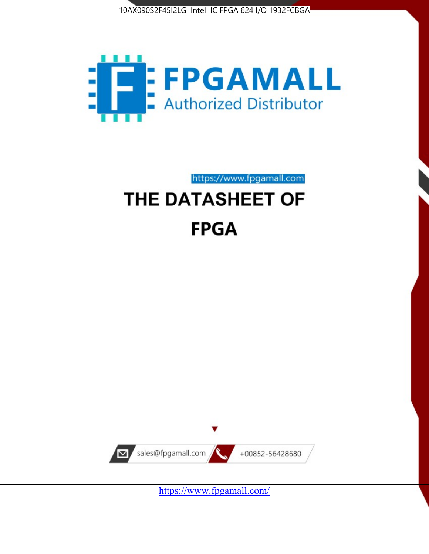



https://www.fpgamall.com

# THE DATASHEET OF **FPGA**



<https://www.fpgamall.com/>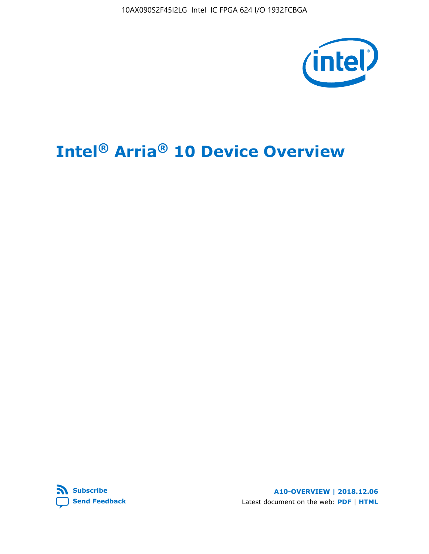10AX090S2F45I2LG Intel IC FPGA 624 I/O 1932FCBGA



# **Intel® Arria® 10 Device Overview**



**A10-OVERVIEW | 2018.12.06** Latest document on the web: **[PDF](https://www.intel.com/content/dam/www/programmable/us/en/pdfs/literature/hb/arria-10/a10_overview.pdf)** | **[HTML](https://www.intel.com/content/www/us/en/programmable/documentation/sam1403480274650.html)**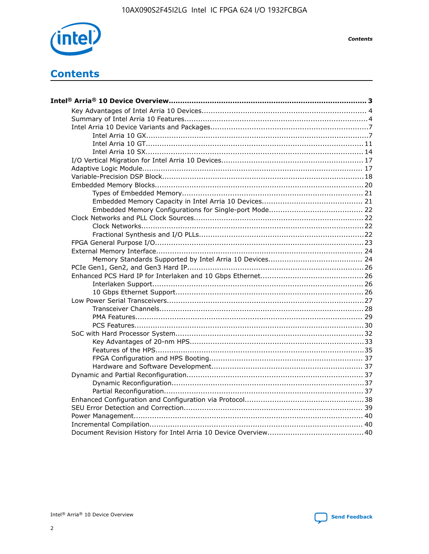

**Contents** 

# **Contents**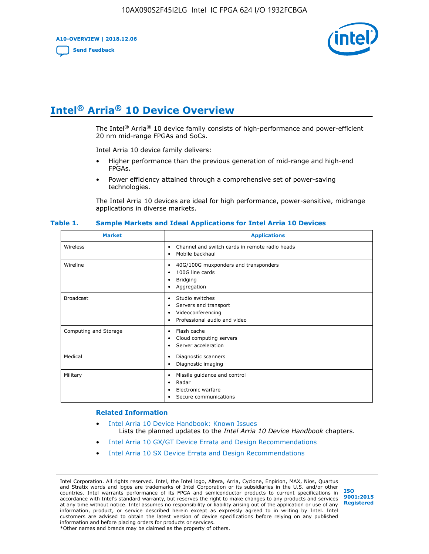**A10-OVERVIEW | 2018.12.06**

**[Send Feedback](mailto:FPGAtechdocfeedback@intel.com?subject=Feedback%20on%20Intel%20Arria%2010%20Device%20Overview%20(A10-OVERVIEW%202018.12.06)&body=We%20appreciate%20your%20feedback.%20In%20your%20comments,%20also%20specify%20the%20page%20number%20or%20paragraph.%20Thank%20you.)**



# **Intel® Arria® 10 Device Overview**

The Intel<sup>®</sup> Arria<sup>®</sup> 10 device family consists of high-performance and power-efficient 20 nm mid-range FPGAs and SoCs.

Intel Arria 10 device family delivers:

- Higher performance than the previous generation of mid-range and high-end FPGAs.
- Power efficiency attained through a comprehensive set of power-saving technologies.

The Intel Arria 10 devices are ideal for high performance, power-sensitive, midrange applications in diverse markets.

| <b>Market</b>         | <b>Applications</b>                                                                                               |
|-----------------------|-------------------------------------------------------------------------------------------------------------------|
| Wireless              | Channel and switch cards in remote radio heads<br>٠<br>Mobile backhaul<br>٠                                       |
| Wireline              | 40G/100G muxponders and transponders<br>٠<br>100G line cards<br>٠<br><b>Bridging</b><br>٠<br>Aggregation<br>٠     |
| <b>Broadcast</b>      | Studio switches<br>٠<br>Servers and transport<br>٠<br>Videoconferencing<br>٠<br>Professional audio and video<br>٠ |
| Computing and Storage | Flash cache<br>٠<br>Cloud computing servers<br>٠<br>Server acceleration<br>٠                                      |
| Medical               | Diagnostic scanners<br>٠<br>Diagnostic imaging<br>٠                                                               |
| Military              | Missile guidance and control<br>٠<br>Radar<br>٠<br>Electronic warfare<br>٠<br>Secure communications<br>٠          |

#### **Table 1. Sample Markets and Ideal Applications for Intel Arria 10 Devices**

#### **Related Information**

- [Intel Arria 10 Device Handbook: Known Issues](http://www.altera.com/support/kdb/solutions/rd07302013_646.html) Lists the planned updates to the *Intel Arria 10 Device Handbook* chapters.
- [Intel Arria 10 GX/GT Device Errata and Design Recommendations](https://www.intel.com/content/www/us/en/programmable/documentation/agz1493851706374.html#yqz1494433888646)
- [Intel Arria 10 SX Device Errata and Design Recommendations](https://www.intel.com/content/www/us/en/programmable/documentation/cru1462832385668.html#cru1462832558642)

Intel Corporation. All rights reserved. Intel, the Intel logo, Altera, Arria, Cyclone, Enpirion, MAX, Nios, Quartus and Stratix words and logos are trademarks of Intel Corporation or its subsidiaries in the U.S. and/or other countries. Intel warrants performance of its FPGA and semiconductor products to current specifications in accordance with Intel's standard warranty, but reserves the right to make changes to any products and services at any time without notice. Intel assumes no responsibility or liability arising out of the application or use of any information, product, or service described herein except as expressly agreed to in writing by Intel. Intel customers are advised to obtain the latest version of device specifications before relying on any published information and before placing orders for products or services. \*Other names and brands may be claimed as the property of others.

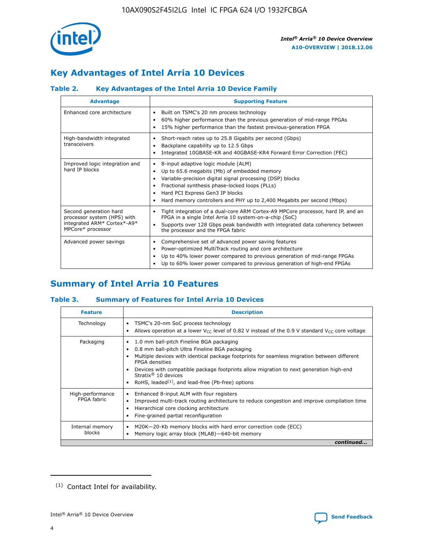

# **Key Advantages of Intel Arria 10 Devices**

# **Table 2. Key Advantages of the Intel Arria 10 Device Family**

| <b>Advantage</b>                                                                                          | <b>Supporting Feature</b>                                                                                                                                                                                                                                                                                                |
|-----------------------------------------------------------------------------------------------------------|--------------------------------------------------------------------------------------------------------------------------------------------------------------------------------------------------------------------------------------------------------------------------------------------------------------------------|
| Enhanced core architecture                                                                                | Built on TSMC's 20 nm process technology<br>٠<br>60% higher performance than the previous generation of mid-range FPGAs<br>٠<br>15% higher performance than the fastest previous-generation FPGA<br>٠                                                                                                                    |
| High-bandwidth integrated<br>transceivers                                                                 | Short-reach rates up to 25.8 Gigabits per second (Gbps)<br>٠<br>Backplane capability up to 12.5 Gbps<br>٠<br>Integrated 10GBASE-KR and 40GBASE-KR4 Forward Error Correction (FEC)<br>٠                                                                                                                                   |
| Improved logic integration and<br>hard IP blocks                                                          | 8-input adaptive logic module (ALM)<br>٠<br>Up to 65.6 megabits (Mb) of embedded memory<br>٠<br>Variable-precision digital signal processing (DSP) blocks<br>Fractional synthesis phase-locked loops (PLLs)<br>Hard PCI Express Gen3 IP blocks<br>Hard memory controllers and PHY up to 2,400 Megabits per second (Mbps) |
| Second generation hard<br>processor system (HPS) with<br>integrated ARM* Cortex*-A9*<br>MPCore* processor | Tight integration of a dual-core ARM Cortex-A9 MPCore processor, hard IP, and an<br>٠<br>FPGA in a single Intel Arria 10 system-on-a-chip (SoC)<br>Supports over 128 Gbps peak bandwidth with integrated data coherency between<br>$\bullet$<br>the processor and the FPGA fabric                                        |
| Advanced power savings                                                                                    | Comprehensive set of advanced power saving features<br>٠<br>Power-optimized MultiTrack routing and core architecture<br>٠<br>Up to 40% lower power compared to previous generation of mid-range FPGAs<br>٠<br>Up to 60% lower power compared to previous generation of high-end FPGAs                                    |

# **Summary of Intel Arria 10 Features**

## **Table 3. Summary of Features for Intel Arria 10 Devices**

| <b>Feature</b>                  | <b>Description</b>                                                                                                                                                                                                                                                                                                                                                                                       |
|---------------------------------|----------------------------------------------------------------------------------------------------------------------------------------------------------------------------------------------------------------------------------------------------------------------------------------------------------------------------------------------------------------------------------------------------------|
| Technology                      | TSMC's 20-nm SoC process technology<br>٠<br>Allows operation at a lower $V_{\text{CC}}$ level of 0.82 V instead of the 0.9 V standard $V_{\text{CC}}$ core voltage                                                                                                                                                                                                                                       |
| Packaging                       | 1.0 mm ball-pitch Fineline BGA packaging<br>0.8 mm ball-pitch Ultra Fineline BGA packaging<br>Multiple devices with identical package footprints for seamless migration between different<br><b>FPGA</b> densities<br>Devices with compatible package footprints allow migration to next generation high-end<br>Stratix $\mathcal{R}$ 10 devices<br>RoHS, leaded $(1)$ , and lead-free (Pb-free) options |
| High-performance<br>FPGA fabric | Enhanced 8-input ALM with four registers<br>٠<br>Improved multi-track routing architecture to reduce congestion and improve compilation time<br>Hierarchical core clocking architecture<br>Fine-grained partial reconfiguration                                                                                                                                                                          |
| Internal memory<br>blocks       | M20K-20-Kb memory blocks with hard error correction code (ECC)<br>Memory logic array block (MLAB)-640-bit memory                                                                                                                                                                                                                                                                                         |
|                                 | continued                                                                                                                                                                                                                                                                                                                                                                                                |



<sup>(1)</sup> Contact Intel for availability.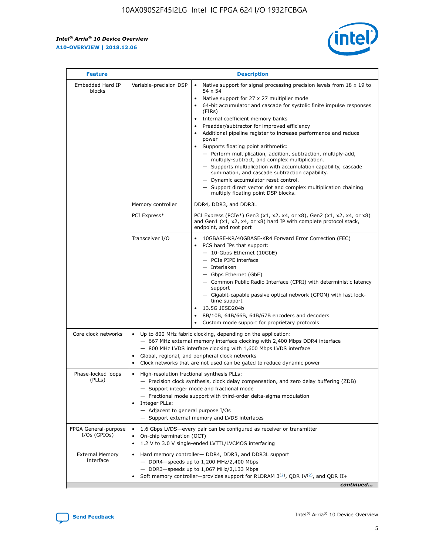r



| <b>Feature</b>                         |                                                                                                                                                                                                                                                                           | <b>Description</b>                                                                                                                                                                                                                                                                                                                                                                                                                                                                                                                                                                                                                                                                                                                                                                                                                                               |  |  |  |  |
|----------------------------------------|---------------------------------------------------------------------------------------------------------------------------------------------------------------------------------------------------------------------------------------------------------------------------|------------------------------------------------------------------------------------------------------------------------------------------------------------------------------------------------------------------------------------------------------------------------------------------------------------------------------------------------------------------------------------------------------------------------------------------------------------------------------------------------------------------------------------------------------------------------------------------------------------------------------------------------------------------------------------------------------------------------------------------------------------------------------------------------------------------------------------------------------------------|--|--|--|--|
| Embedded Hard IP<br>blocks             | Variable-precision DSP                                                                                                                                                                                                                                                    | Native support for signal processing precision levels from $18 \times 19$ to<br>$\bullet$<br>54 x 54<br>Native support for 27 x 27 multiplier mode<br>$\bullet$<br>64-bit accumulator and cascade for systolic finite impulse responses<br>(FIRs)<br>Internal coefficient memory banks<br>$\bullet$<br>Preadder/subtractor for improved efficiency<br>Additional pipeline register to increase performance and reduce<br>power<br>Supports floating point arithmetic:<br>- Perform multiplication, addition, subtraction, multiply-add,<br>multiply-subtract, and complex multiplication.<br>- Supports multiplication with accumulation capability, cascade<br>summation, and cascade subtraction capability.<br>- Dynamic accumulator reset control.<br>- Support direct vector dot and complex multiplication chaining<br>multiply floating point DSP blocks. |  |  |  |  |
|                                        | Memory controller                                                                                                                                                                                                                                                         | DDR4, DDR3, and DDR3L                                                                                                                                                                                                                                                                                                                                                                                                                                                                                                                                                                                                                                                                                                                                                                                                                                            |  |  |  |  |
|                                        | PCI Express*                                                                                                                                                                                                                                                              | PCI Express (PCIe*) Gen3 (x1, x2, x4, or x8), Gen2 (x1, x2, x4, or x8)<br>and Gen1 (x1, x2, x4, or x8) hard IP with complete protocol stack,<br>endpoint, and root port                                                                                                                                                                                                                                                                                                                                                                                                                                                                                                                                                                                                                                                                                          |  |  |  |  |
|                                        | Transceiver I/O                                                                                                                                                                                                                                                           | 10GBASE-KR/40GBASE-KR4 Forward Error Correction (FEC)<br>PCS hard IPs that support:<br>- 10-Gbps Ethernet (10GbE)<br>- PCIe PIPE interface<br>- Interlaken<br>- Gbps Ethernet (GbE)<br>- Common Public Radio Interface (CPRI) with deterministic latency<br>support<br>- Gigabit-capable passive optical network (GPON) with fast lock-<br>time support<br>13.5G JESD204b<br>$\bullet$<br>8B/10B, 64B/66B, 64B/67B encoders and decoders<br>Custom mode support for proprietary protocols                                                                                                                                                                                                                                                                                                                                                                        |  |  |  |  |
| Core clock networks                    | $\bullet$                                                                                                                                                                                                                                                                 | Up to 800 MHz fabric clocking, depending on the application:<br>- 667 MHz external memory interface clocking with 2,400 Mbps DDR4 interface<br>- 800 MHz LVDS interface clocking with 1,600 Mbps LVDS interface<br>Global, regional, and peripheral clock networks<br>Clock networks that are not used can be gated to reduce dynamic power                                                                                                                                                                                                                                                                                                                                                                                                                                                                                                                      |  |  |  |  |
| Phase-locked loops<br>(PLLs)           | High-resolution fractional synthesis PLLs:<br>$\bullet$<br>Integer PLLs:<br>- Adjacent to general purpose I/Os                                                                                                                                                            | - Precision clock synthesis, clock delay compensation, and zero delay buffering (ZDB)<br>- Support integer mode and fractional mode<br>- Fractional mode support with third-order delta-sigma modulation<br>- Support external memory and LVDS interfaces                                                                                                                                                                                                                                                                                                                                                                                                                                                                                                                                                                                                        |  |  |  |  |
| FPGA General-purpose<br>$I/Os$ (GPIOs) | On-chip termination (OCT)<br>٠<br>$\bullet$                                                                                                                                                                                                                               | 1.6 Gbps LVDS-every pair can be configured as receiver or transmitter<br>1.2 V to 3.0 V single-ended LVTTL/LVCMOS interfacing                                                                                                                                                                                                                                                                                                                                                                                                                                                                                                                                                                                                                                                                                                                                    |  |  |  |  |
| <b>External Memory</b><br>Interface    | Hard memory controller- DDR4, DDR3, and DDR3L support<br>$\bullet$<br>$-$ DDR4-speeds up to 1,200 MHz/2,400 Mbps<br>- DDR3-speeds up to 1,067 MHz/2,133 Mbps<br>Soft memory controller—provides support for RLDRAM $3^{(2)}$ , QDR IV $^{(2)}$ , and QDR II+<br>continued |                                                                                                                                                                                                                                                                                                                                                                                                                                                                                                                                                                                                                                                                                                                                                                                                                                                                  |  |  |  |  |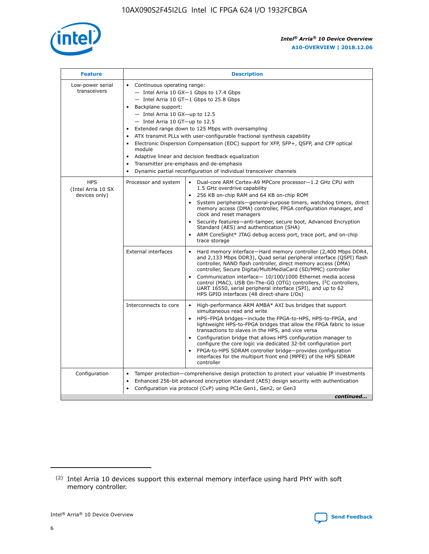

| <b>Feature</b>                                    | <b>Description</b>                                                                                                                                                                                                                                                                                                                                                                                                                                                                                                                                                                                                                           |
|---------------------------------------------------|----------------------------------------------------------------------------------------------------------------------------------------------------------------------------------------------------------------------------------------------------------------------------------------------------------------------------------------------------------------------------------------------------------------------------------------------------------------------------------------------------------------------------------------------------------------------------------------------------------------------------------------------|
| Low-power serial<br>transceivers                  | • Continuous operating range:<br>- Intel Arria 10 GX-1 Gbps to 17.4 Gbps<br>- Intel Arria 10 GT-1 Gbps to 25.8 Gbps<br>Backplane support:<br>$-$ Intel Arria 10 GX-up to 12.5<br>$-$ Intel Arria 10 GT-up to 12.5<br>Extended range down to 125 Mbps with oversampling<br>ATX transmit PLLs with user-configurable fractional synthesis capability<br>Electronic Dispersion Compensation (EDC) support for XFP, SFP+, QSFP, and CFP optical<br>module<br>• Adaptive linear and decision feedback equalization<br>Transmitter pre-emphasis and de-emphasis<br>$\bullet$<br>Dynamic partial reconfiguration of individual transceiver channels |
| <b>HPS</b><br>(Intel Arria 10 SX<br>devices only) | Dual-core ARM Cortex-A9 MPCore processor-1.2 GHz CPU with<br>Processor and system<br>$\bullet$<br>1.5 GHz overdrive capability<br>256 KB on-chip RAM and 64 KB on-chip ROM<br>System peripherals-general-purpose timers, watchdog timers, direct<br>memory access (DMA) controller, FPGA configuration manager, and<br>clock and reset managers<br>Security features-anti-tamper, secure boot, Advanced Encryption<br>$\bullet$<br>Standard (AES) and authentication (SHA)<br>ARM CoreSight* JTAG debug access port, trace port, and on-chip<br>trace storage                                                                                |
|                                                   | <b>External interfaces</b><br>Hard memory interface-Hard memory controller (2,400 Mbps DDR4,<br>$\bullet$<br>and 2,133 Mbps DDR3), Quad serial peripheral interface (QSPI) flash<br>controller, NAND flash controller, direct memory access (DMA)<br>controller, Secure Digital/MultiMediaCard (SD/MMC) controller<br>Communication interface-10/100/1000 Ethernet media access<br>$\bullet$<br>control (MAC), USB On-The-GO (OTG) controllers, I <sup>2</sup> C controllers,<br>UART 16550, serial peripheral interface (SPI), and up to 62<br>HPS GPIO interfaces (48 direct-share I/Os)                                                   |
|                                                   | High-performance ARM AMBA* AXI bus bridges that support<br>Interconnects to core<br>$\bullet$<br>simultaneous read and write<br>HPS-FPGA bridges-include the FPGA-to-HPS, HPS-to-FPGA, and<br>$\bullet$<br>lightweight HPS-to-FPGA bridges that allow the FPGA fabric to issue<br>transactions to slaves in the HPS, and vice versa<br>Configuration bridge that allows HPS configuration manager to<br>configure the core logic via dedicated 32-bit configuration port<br>FPGA-to-HPS SDRAM controller bridge-provides configuration<br>interfaces for the multiport front end (MPFE) of the HPS SDRAM<br>controller                       |
| Configuration                                     | Tamper protection—comprehensive design protection to protect your valuable IP investments<br>Enhanced 256-bit advanced encryption standard (AES) design security with authentication<br>٠<br>Configuration via protocol (CvP) using PCIe Gen1, Gen2, or Gen3<br>continued                                                                                                                                                                                                                                                                                                                                                                    |

<sup>(2)</sup> Intel Arria 10 devices support this external memory interface using hard PHY with soft memory controller.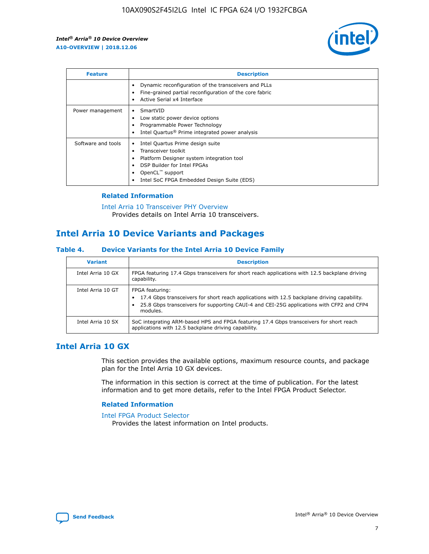

| <b>Feature</b>     | <b>Description</b>                                                                                                                                                                                                            |
|--------------------|-------------------------------------------------------------------------------------------------------------------------------------------------------------------------------------------------------------------------------|
|                    | Dynamic reconfiguration of the transceivers and PLLs<br>Fine-grained partial reconfiguration of the core fabric<br>Active Serial x4 Interface<br>$\bullet$                                                                    |
| Power management   | SmartVID<br>Low static power device options<br>Programmable Power Technology<br>Intel Quartus <sup>®</sup> Prime integrated power analysis                                                                                    |
| Software and tools | Intel Quartus Prime design suite<br>Transceiver toolkit<br>$\bullet$<br>Platform Designer system integration tool<br>DSP Builder for Intel FPGAs<br>OpenCL <sup>"</sup> support<br>Intel SoC FPGA Embedded Design Suite (EDS) |

# **Related Information**

#### [Intel Arria 10 Transceiver PHY Overview](https://www.intel.com/content/www/us/en/programmable/documentation/nik1398707230472.html#nik1398706768037) Provides details on Intel Arria 10 transceivers.

# **Intel Arria 10 Device Variants and Packages**

## **Table 4. Device Variants for the Intel Arria 10 Device Family**

| <b>Variant</b>    | <b>Description</b>                                                                                                                                                                                                     |
|-------------------|------------------------------------------------------------------------------------------------------------------------------------------------------------------------------------------------------------------------|
| Intel Arria 10 GX | FPGA featuring 17.4 Gbps transceivers for short reach applications with 12.5 backplane driving<br>capability.                                                                                                          |
| Intel Arria 10 GT | FPGA featuring:<br>17.4 Gbps transceivers for short reach applications with 12.5 backplane driving capability.<br>25.8 Gbps transceivers for supporting CAUI-4 and CEI-25G applications with CFP2 and CFP4<br>modules. |
| Intel Arria 10 SX | SoC integrating ARM-based HPS and FPGA featuring 17.4 Gbps transceivers for short reach<br>applications with 12.5 backplane driving capability.                                                                        |

# **Intel Arria 10 GX**

This section provides the available options, maximum resource counts, and package plan for the Intel Arria 10 GX devices.

The information in this section is correct at the time of publication. For the latest information and to get more details, refer to the Intel FPGA Product Selector.

## **Related Information**

#### [Intel FPGA Product Selector](http://www.altera.com/products/selector/psg-selector.html) Provides the latest information on Intel products.

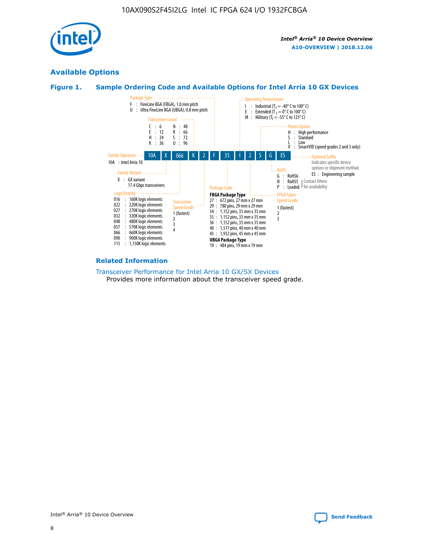

# **Available Options**





#### **Related Information**

[Transceiver Performance for Intel Arria 10 GX/SX Devices](https://www.intel.com/content/www/us/en/programmable/documentation/mcn1413182292568.html#mcn1413213965502) Provides more information about the transceiver speed grade.

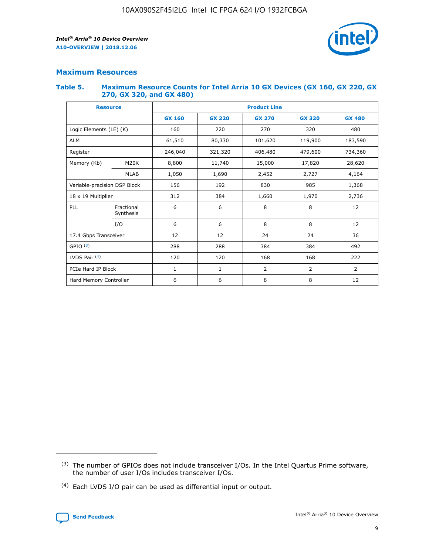

# **Maximum Resources**

#### **Table 5. Maximum Resource Counts for Intel Arria 10 GX Devices (GX 160, GX 220, GX 270, GX 320, and GX 480)**

| <b>Resource</b>              |                         | <b>Product Line</b> |                                                 |                    |         |                |  |  |  |
|------------------------------|-------------------------|---------------------|-------------------------------------------------|--------------------|---------|----------------|--|--|--|
|                              |                         | <b>GX 160</b>       | <b>GX 220</b><br><b>GX 270</b><br><b>GX 320</b> |                    |         | <b>GX 480</b>  |  |  |  |
| Logic Elements (LE) (K)      |                         | 160                 | 220<br>320<br>270                               |                    |         | 480            |  |  |  |
| <b>ALM</b>                   |                         | 61,510              | 80,330                                          | 101,620            | 119,900 | 183,590        |  |  |  |
| Register                     |                         | 246,040             | 321,320                                         | 406,480<br>479,600 |         | 734,360        |  |  |  |
| Memory (Kb)                  | M <sub>20</sub> K       | 8,800               | 11,740                                          | 15,000             | 17,820  | 28,620         |  |  |  |
|                              | <b>MLAB</b>             | 1,050               | 1,690<br>2,452<br>2,727                         |                    |         | 4,164          |  |  |  |
| Variable-precision DSP Block |                         | 156                 | 192                                             | 830                | 985     | 1,368          |  |  |  |
| 18 x 19 Multiplier           |                         | 312                 | 384                                             | 1,970<br>1,660     |         | 2,736          |  |  |  |
| PLL                          | Fractional<br>Synthesis | 6                   | 6                                               | 8                  | 8       | 12             |  |  |  |
|                              | I/O                     | 6                   | 6                                               | 8                  | 8       | 12             |  |  |  |
| 17.4 Gbps Transceiver        |                         | 12                  | 12                                              | 24                 | 24      | 36             |  |  |  |
| GPIO <sup>(3)</sup>          |                         | 288                 | 288                                             | 384                | 384     |                |  |  |  |
| LVDS Pair $(4)$              |                         | 120                 | 120                                             | 168                | 168     | 222            |  |  |  |
| PCIe Hard IP Block           |                         | 1                   | $\mathbf{1}$                                    | 2                  | 2       | $\overline{2}$ |  |  |  |
| Hard Memory Controller       |                         | 6                   | 6                                               | 8                  | 8       | 12             |  |  |  |

<sup>(4)</sup> Each LVDS I/O pair can be used as differential input or output.



<sup>(3)</sup> The number of GPIOs does not include transceiver I/Os. In the Intel Quartus Prime software, the number of user I/Os includes transceiver I/Os.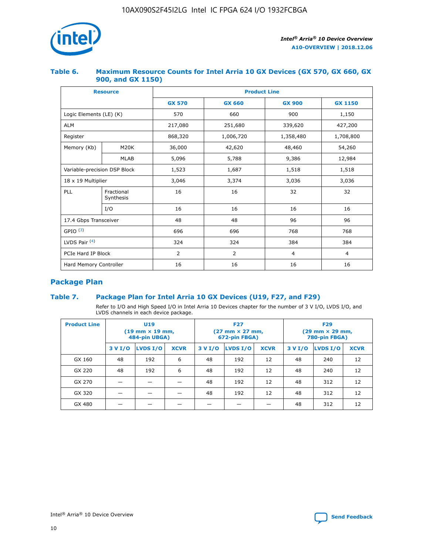

## **Table 6. Maximum Resource Counts for Intel Arria 10 GX Devices (GX 570, GX 660, GX 900, and GX 1150)**

|                              | <b>Resource</b>         | <b>Product Line</b> |                |                |                |  |  |  |
|------------------------------|-------------------------|---------------------|----------------|----------------|----------------|--|--|--|
|                              |                         | <b>GX 570</b>       | <b>GX 660</b>  | <b>GX 900</b>  | <b>GX 1150</b> |  |  |  |
| Logic Elements (LE) (K)      |                         | 570                 | 660            | 900            | 1,150          |  |  |  |
| <b>ALM</b>                   |                         | 217,080             | 251,680        | 339,620        | 427,200        |  |  |  |
| Register                     |                         | 868,320             | 1,006,720      |                | 1,708,800      |  |  |  |
| Memory (Kb)                  | <b>M20K</b>             | 36,000              | 42,620         | 48,460         | 54,260         |  |  |  |
|                              | <b>MLAB</b>             | 5,096               | 5,788          | 9,386          | 12,984         |  |  |  |
| Variable-precision DSP Block |                         | 1,523               | 1,687          | 1,518          | 1,518          |  |  |  |
| $18 \times 19$ Multiplier    |                         | 3,046               | 3,374          | 3,036          | 3,036          |  |  |  |
| PLL                          | Fractional<br>Synthesis | 16                  | 16             | 32             | 32             |  |  |  |
|                              | I/O                     | 16                  | 16             | 16             | 16             |  |  |  |
| 17.4 Gbps Transceiver        |                         | 48                  | 48<br>96       |                | 96             |  |  |  |
| GPIO <sup>(3)</sup>          |                         | 696                 | 696            | 768            | 768            |  |  |  |
| LVDS Pair $(4)$              |                         | 324                 | 324            | 384            | 384            |  |  |  |
| PCIe Hard IP Block           |                         | 2                   | $\overline{2}$ | $\overline{4}$ | 4              |  |  |  |
| Hard Memory Controller       |                         | 16                  | 16             | 16             | 16             |  |  |  |

# **Package Plan**

# **Table 7. Package Plan for Intel Arria 10 GX Devices (U19, F27, and F29)**

Refer to I/O and High Speed I/O in Intel Arria 10 Devices chapter for the number of 3 V I/O, LVDS I/O, and LVDS channels in each device package.

| <b>Product Line</b> | U <sub>19</sub><br>$(19 \text{ mm} \times 19 \text{ mm})$<br>484-pin UBGA) |          |             |         | <b>F27</b><br>(27 mm × 27 mm,<br>672-pin FBGA) |             | <b>F29</b><br>(29 mm × 29 mm,<br>780-pin FBGA) |          |             |  |
|---------------------|----------------------------------------------------------------------------|----------|-------------|---------|------------------------------------------------|-------------|------------------------------------------------|----------|-------------|--|
|                     | 3 V I/O                                                                    | LVDS I/O | <b>XCVR</b> | 3 V I/O | <b>LVDS I/O</b>                                | <b>XCVR</b> | 3 V I/O                                        | LVDS I/O | <b>XCVR</b> |  |
| GX 160              | 48                                                                         | 192      | 6           | 48      | 192                                            | 12          | 48                                             | 240      | 12          |  |
| GX 220              | 48                                                                         | 192      | 6           | 48      | 192                                            | 12          | 48                                             | 240      | 12          |  |
| GX 270              |                                                                            |          |             | 48      | 192                                            | 12          | 48                                             | 312      | 12          |  |
| GX 320              |                                                                            |          |             | 48      | 192                                            | 12          | 48                                             | 312      | 12          |  |
| GX 480              |                                                                            |          |             |         |                                                |             | 48                                             | 312      | 12          |  |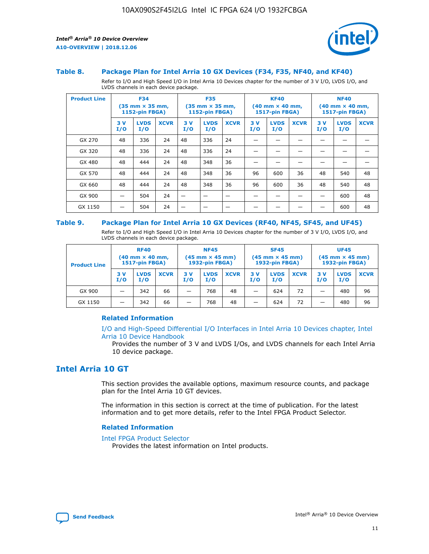

#### **Table 8. Package Plan for Intel Arria 10 GX Devices (F34, F35, NF40, and KF40)**

Refer to I/O and High Speed I/O in Intel Arria 10 Devices chapter for the number of 3 V I/O, LVDS I/O, and LVDS channels in each device package.

| <b>Product Line</b> | <b>F34</b><br>$(35 \text{ mm} \times 35 \text{ mm})$<br><b>1152-pin FBGA)</b> |                    | <b>F35</b><br>$(35 \text{ mm} \times 35 \text{ mm})$<br><b>1152-pin FBGA)</b> |           | <b>KF40</b><br>$(40$ mm $\times$ 40 mm,<br><b>1517-pin FBGA)</b> |             |           | <b>NF40</b><br>$(40 \text{ mm} \times 40 \text{ mm})$<br>1517-pin FBGA) |             |           |                    |             |
|---------------------|-------------------------------------------------------------------------------|--------------------|-------------------------------------------------------------------------------|-----------|------------------------------------------------------------------|-------------|-----------|-------------------------------------------------------------------------|-------------|-----------|--------------------|-------------|
|                     | 3V<br>I/O                                                                     | <b>LVDS</b><br>I/O | <b>XCVR</b>                                                                   | 3V<br>I/O | <b>LVDS</b><br>I/O                                               | <b>XCVR</b> | 3V<br>I/O | <b>LVDS</b><br>I/O                                                      | <b>XCVR</b> | 3V<br>I/O | <b>LVDS</b><br>I/O | <b>XCVR</b> |
| GX 270              | 48                                                                            | 336                | 24                                                                            | 48        | 336                                                              | 24          |           |                                                                         |             |           |                    |             |
| GX 320              | 48                                                                            | 336                | 24                                                                            | 48        | 336                                                              | 24          |           |                                                                         |             |           |                    |             |
| GX 480              | 48                                                                            | 444                | 24                                                                            | 48        | 348                                                              | 36          |           |                                                                         |             |           |                    |             |
| GX 570              | 48                                                                            | 444                | 24                                                                            | 48        | 348                                                              | 36          | 96        | 600                                                                     | 36          | 48        | 540                | 48          |
| GX 660              | 48                                                                            | 444                | 24                                                                            | 48        | 348                                                              | 36          | 96        | 600                                                                     | 36          | 48        | 540                | 48          |
| GX 900              |                                                                               | 504                | 24                                                                            | –         |                                                                  | -           |           |                                                                         |             |           | 600                | 48          |
| GX 1150             |                                                                               | 504                | 24                                                                            |           |                                                                  |             |           |                                                                         |             |           | 600                | 48          |

#### **Table 9. Package Plan for Intel Arria 10 GX Devices (RF40, NF45, SF45, and UF45)**

Refer to I/O and High Speed I/O in Intel Arria 10 Devices chapter for the number of 3 V I/O, LVDS I/O, and LVDS channels in each device package.

| <b>Product Line</b> | <b>RF40</b><br>$(40$ mm $\times$ 40 mm,<br>1517-pin FBGA) |                    |             | <b>NF45</b><br>$(45 \text{ mm} \times 45 \text{ mm})$<br><b>1932-pin FBGA)</b> |                    |             | <b>SF45</b><br>$(45 \text{ mm} \times 45 \text{ mm})$<br><b>1932-pin FBGA)</b> |                    |             | <b>UF45</b><br>$(45 \text{ mm} \times 45 \text{ mm})$<br><b>1932-pin FBGA)</b> |                    |             |
|---------------------|-----------------------------------------------------------|--------------------|-------------|--------------------------------------------------------------------------------|--------------------|-------------|--------------------------------------------------------------------------------|--------------------|-------------|--------------------------------------------------------------------------------|--------------------|-------------|
|                     | 3V<br>I/O                                                 | <b>LVDS</b><br>I/O | <b>XCVR</b> | 3 V<br>I/O                                                                     | <b>LVDS</b><br>I/O | <b>XCVR</b> | 3 V<br>I/O                                                                     | <b>LVDS</b><br>I/O | <b>XCVR</b> | 3V<br>I/O                                                                      | <b>LVDS</b><br>I/O | <b>XCVR</b> |
| GX 900              |                                                           | 342                | 66          | _                                                                              | 768                | 48          |                                                                                | 624                | 72          |                                                                                | 480                | 96          |
| GX 1150             |                                                           | 342                | 66          | _                                                                              | 768                | 48          |                                                                                | 624                | 72          |                                                                                | 480                | 96          |

## **Related Information**

[I/O and High-Speed Differential I/O Interfaces in Intel Arria 10 Devices chapter, Intel](https://www.intel.com/content/www/us/en/programmable/documentation/sam1403482614086.html#sam1403482030321) [Arria 10 Device Handbook](https://www.intel.com/content/www/us/en/programmable/documentation/sam1403482614086.html#sam1403482030321)

Provides the number of 3 V and LVDS I/Os, and LVDS channels for each Intel Arria 10 device package.

# **Intel Arria 10 GT**

This section provides the available options, maximum resource counts, and package plan for the Intel Arria 10 GT devices.

The information in this section is correct at the time of publication. For the latest information and to get more details, refer to the Intel FPGA Product Selector.

#### **Related Information**

#### [Intel FPGA Product Selector](http://www.altera.com/products/selector/psg-selector.html)

Provides the latest information on Intel products.

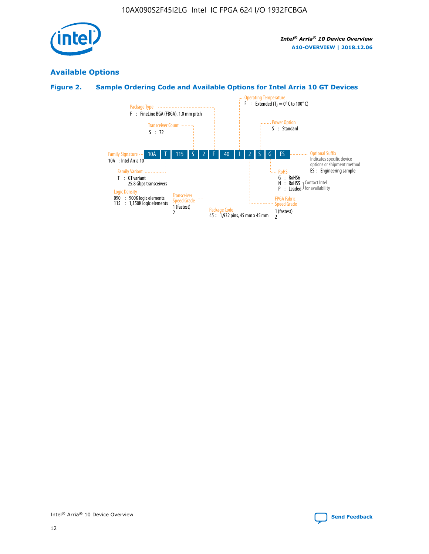

# **Available Options**

# **Figure 2. Sample Ordering Code and Available Options for Intel Arria 10 GT Devices**

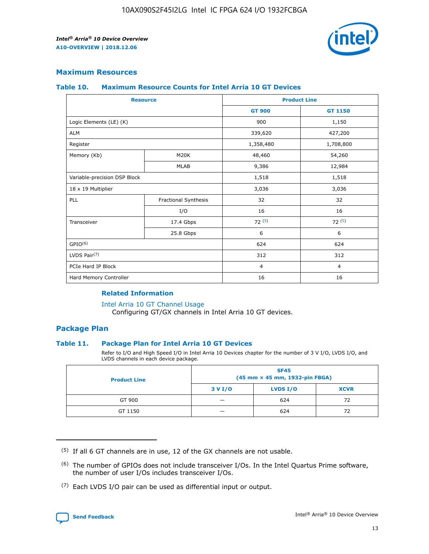

# **Maximum Resources**

#### **Table 10. Maximum Resource Counts for Intel Arria 10 GT Devices**

|                              | <b>Resource</b>      | <b>Product Line</b> |                |  |
|------------------------------|----------------------|---------------------|----------------|--|
|                              |                      | <b>GT 900</b>       | GT 1150        |  |
| Logic Elements (LE) (K)      |                      | 900                 | 1,150          |  |
| <b>ALM</b>                   |                      | 339,620             | 427,200        |  |
| Register                     |                      | 1,358,480           | 1,708,800      |  |
| Memory (Kb)                  | M20K                 | 48,460              | 54,260         |  |
|                              | <b>MLAB</b>          | 9,386               | 12,984         |  |
| Variable-precision DSP Block |                      | 1,518               | 1,518          |  |
| 18 x 19 Multiplier           |                      | 3,036               | 3,036          |  |
| PLL                          | Fractional Synthesis | 32                  | 32             |  |
|                              | I/O                  | 16                  | 16             |  |
| Transceiver                  | 17.4 Gbps            | 72(5)               | 72(5)          |  |
|                              | 25.8 Gbps            | 6                   | 6              |  |
| GPIO <sup>(6)</sup>          |                      | 624                 | 624            |  |
| LVDS Pair $(7)$              |                      | 312                 | 312            |  |
| PCIe Hard IP Block           |                      | $\overline{4}$      | $\overline{4}$ |  |
| Hard Memory Controller       |                      | 16                  | 16             |  |

#### **Related Information**

#### [Intel Arria 10 GT Channel Usage](https://www.intel.com/content/www/us/en/programmable/documentation/nik1398707230472.html#nik1398707008178)

Configuring GT/GX channels in Intel Arria 10 GT devices.

## **Package Plan**

## **Table 11. Package Plan for Intel Arria 10 GT Devices**

Refer to I/O and High Speed I/O in Intel Arria 10 Devices chapter for the number of 3 V I/O, LVDS I/O, and LVDS channels in each device package.

| <b>Product Line</b> | <b>SF45</b><br>(45 mm × 45 mm, 1932-pin FBGA) |                 |             |  |  |  |
|---------------------|-----------------------------------------------|-----------------|-------------|--|--|--|
|                     | 3 V I/O                                       | <b>LVDS I/O</b> | <b>XCVR</b> |  |  |  |
| GT 900              |                                               | 624             | 72          |  |  |  |
| GT 1150             |                                               | 624             | 72          |  |  |  |

<sup>(7)</sup> Each LVDS I/O pair can be used as differential input or output.



 $(5)$  If all 6 GT channels are in use, 12 of the GX channels are not usable.

<sup>(6)</sup> The number of GPIOs does not include transceiver I/Os. In the Intel Quartus Prime software, the number of user I/Os includes transceiver I/Os.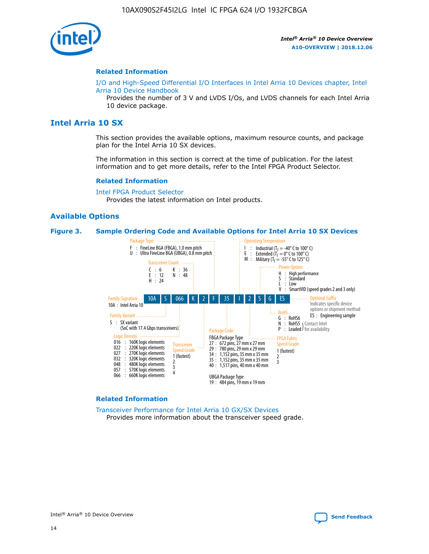

#### **Related Information**

[I/O and High-Speed Differential I/O Interfaces in Intel Arria 10 Devices chapter, Intel](https://www.intel.com/content/www/us/en/programmable/documentation/sam1403482614086.html#sam1403482030321) [Arria 10 Device Handbook](https://www.intel.com/content/www/us/en/programmable/documentation/sam1403482614086.html#sam1403482030321)

Provides the number of 3 V and LVDS I/Os, and LVDS channels for each Intel Arria 10 device package.

# **Intel Arria 10 SX**

This section provides the available options, maximum resource counts, and package plan for the Intel Arria 10 SX devices.

The information in this section is correct at the time of publication. For the latest information and to get more details, refer to the Intel FPGA Product Selector.

#### **Related Information**

[Intel FPGA Product Selector](http://www.altera.com/products/selector/psg-selector.html) Provides the latest information on Intel products.

#### **Available Options**

#### **Figure 3. Sample Ordering Code and Available Options for Intel Arria 10 SX Devices**



#### **Related Information**

[Transceiver Performance for Intel Arria 10 GX/SX Devices](https://www.intel.com/content/www/us/en/programmable/documentation/mcn1413182292568.html#mcn1413213965502) Provides more information about the transceiver speed grade.

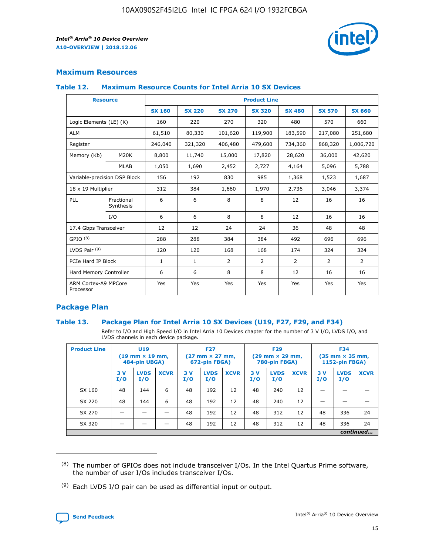

# **Maximum Resources**

#### **Table 12. Maximum Resource Counts for Intel Arria 10 SX Devices**

|                                   | <b>Resource</b>         | <b>Product Line</b> |               |                |                |                |                |                |  |  |  |
|-----------------------------------|-------------------------|---------------------|---------------|----------------|----------------|----------------|----------------|----------------|--|--|--|
|                                   |                         | <b>SX 160</b>       | <b>SX 220</b> | <b>SX 270</b>  | <b>SX 320</b>  | <b>SX 480</b>  | <b>SX 570</b>  | <b>SX 660</b>  |  |  |  |
| Logic Elements (LE) (K)           |                         | 160                 | 220           | 270            | 320            | 480            | 570            | 660            |  |  |  |
| <b>ALM</b>                        |                         | 61,510              | 80,330        | 101,620        | 119,900        | 183,590        | 217,080        | 251,680        |  |  |  |
| Register                          |                         | 246,040             | 321,320       | 406,480        | 479,600        | 734,360        | 868,320        | 1,006,720      |  |  |  |
| Memory (Kb)                       | M <sub>20</sub> K       | 8,800               | 11,740        | 15,000         | 17,820         | 28,620         | 36,000         | 42,620         |  |  |  |
|                                   | <b>MLAB</b>             | 1,050               | 1,690         | 2,452          | 2,727          | 4,164          | 5,096          | 5,788          |  |  |  |
| Variable-precision DSP Block      |                         | 156                 | 192           | 830            | 985            | 1,368          | 1,523          | 1,687          |  |  |  |
| 18 x 19 Multiplier                |                         | 312                 | 384           | 1,660          | 1,970          | 2,736          | 3,046          | 3,374          |  |  |  |
| <b>PLL</b>                        | Fractional<br>Synthesis | 6                   | 6             | 8              | 8              | 12             | 16             | 16             |  |  |  |
|                                   | I/O                     | 6                   | 6             | 8              | 8              | 12             | 16             | 16             |  |  |  |
| 17.4 Gbps Transceiver             |                         | 12                  | 12            | 24             | 24             | 36             | 48             | 48             |  |  |  |
| GPIO <sup>(8)</sup>               |                         | 288                 | 288           | 384            | 384            | 492            | 696            | 696            |  |  |  |
| LVDS Pair $(9)$                   |                         | 120                 | 120           | 168            | 168            | 174            | 324            | 324            |  |  |  |
| PCIe Hard IP Block                |                         | $\mathbf{1}$        | $\mathbf{1}$  | $\overline{2}$ | $\overline{2}$ | $\overline{2}$ | $\overline{2}$ | $\overline{2}$ |  |  |  |
| Hard Memory Controller            |                         | 6                   | 6             | 8              | 8              | 12             | 16             | 16             |  |  |  |
| ARM Cortex-A9 MPCore<br>Processor |                         | Yes                 | Yes           | Yes            | Yes            | Yes            | Yes            | Yes            |  |  |  |

# **Package Plan**

## **Table 13. Package Plan for Intel Arria 10 SX Devices (U19, F27, F29, and F34)**

Refer to I/O and High Speed I/O in Intel Arria 10 Devices chapter for the number of 3 V I/O, LVDS I/O, and LVDS channels in each device package.

| <b>Product Line</b> | <b>U19</b><br>$(19 \text{ mm} \times 19 \text{ mm})$<br>484-pin UBGA) |                    | <b>F27</b><br>$(27 \text{ mm} \times 27 \text{ mm})$<br>672-pin FBGA) |           | <b>F29</b><br>$(29$ mm $\times$ 29 mm,<br>780-pin FBGA) |             |            | <b>F34</b><br>$(35 \text{ mm} \times 35 \text{ mm})$<br>1152-pin FBGA) |             |           |                    |             |
|---------------------|-----------------------------------------------------------------------|--------------------|-----------------------------------------------------------------------|-----------|---------------------------------------------------------|-------------|------------|------------------------------------------------------------------------|-------------|-----------|--------------------|-------------|
|                     | 3V<br>I/O                                                             | <b>LVDS</b><br>I/O | <b>XCVR</b>                                                           | 3V<br>I/O | <b>LVDS</b><br>I/O                                      | <b>XCVR</b> | 3 V<br>I/O | <b>LVDS</b><br>I/O                                                     | <b>XCVR</b> | 3V<br>I/O | <b>LVDS</b><br>I/O | <b>XCVR</b> |
| SX 160              | 48                                                                    | 144                | 6                                                                     | 48        | 192                                                     | 12          | 48         | 240                                                                    | 12          | –         |                    |             |
| SX 220              | 48                                                                    | 144                | 6                                                                     | 48        | 192                                                     | 12          | 48         | 240                                                                    | 12          |           |                    |             |
| SX 270              |                                                                       |                    |                                                                       | 48        | 192                                                     | 12          | 48         | 312                                                                    | 12          | 48        | 336                | 24          |
| SX 320              |                                                                       |                    |                                                                       | 48        | 192                                                     | 12          | 48         | 312                                                                    | 12          | 48        | 336                | 24          |
|                     | continued                                                             |                    |                                                                       |           |                                                         |             |            |                                                                        |             |           |                    |             |

 $(8)$  The number of GPIOs does not include transceiver I/Os. In the Intel Quartus Prime software, the number of user I/Os includes transceiver I/Os.

 $(9)$  Each LVDS I/O pair can be used as differential input or output.

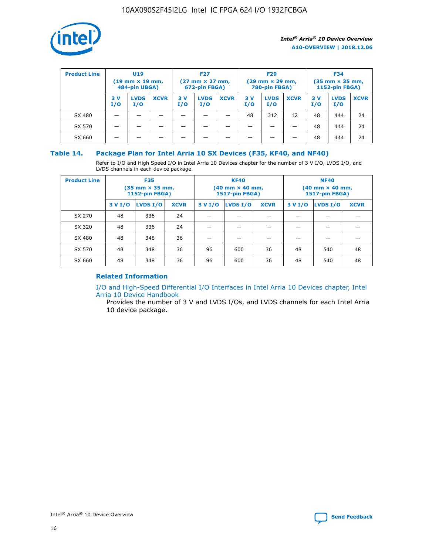

| <b>Product Line</b> | U <sub>19</sub><br>$(19 \text{ mm} \times 19 \text{ mm})$<br>484-pin UBGA) |                    | <b>F27</b><br>$(27 \text{ mm} \times 27 \text{ mm})$<br>672-pin FBGA) |           | <b>F29</b><br>$(29$ mm $\times$ 29 mm,<br>780-pin FBGA) |             |           | <b>F34</b><br>$(35$ mm $\times$ 35 mm,<br><b>1152-pin FBGA)</b> |             |            |                    |             |
|---------------------|----------------------------------------------------------------------------|--------------------|-----------------------------------------------------------------------|-----------|---------------------------------------------------------|-------------|-----------|-----------------------------------------------------------------|-------------|------------|--------------------|-------------|
|                     | 3 V<br>I/O                                                                 | <b>LVDS</b><br>I/O | <b>XCVR</b>                                                           | 3V<br>I/O | <b>LVDS</b><br>I/O                                      | <b>XCVR</b> | 3V<br>I/O | <b>LVDS</b><br>I/O                                              | <b>XCVR</b> | 3 V<br>I/O | <b>LVDS</b><br>I/O | <b>XCVR</b> |
| SX 480              |                                                                            |                    |                                                                       |           |                                                         |             | 48        | 312                                                             | 12          | 48         | 444                | 24          |
| SX 570              |                                                                            |                    |                                                                       |           |                                                         |             |           |                                                                 |             | 48         | 444                | 24          |
| SX 660              |                                                                            |                    |                                                                       |           |                                                         |             |           |                                                                 |             | 48         | 444                | 24          |

## **Table 14. Package Plan for Intel Arria 10 SX Devices (F35, KF40, and NF40)**

Refer to I/O and High Speed I/O in Intel Arria 10 Devices chapter for the number of 3 V I/O, LVDS I/O, and LVDS channels in each device package.

| <b>Product Line</b> | <b>F35</b><br>$(35 \text{ mm} \times 35 \text{ mm})$<br><b>1152-pin FBGA)</b> |          |             |                                           | <b>KF40</b><br>(40 mm × 40 mm,<br>1517-pin FBGA) |    | <b>NF40</b><br>$(40 \text{ mm} \times 40 \text{ mm})$<br>1517-pin FBGA) |          |             |  |
|---------------------|-------------------------------------------------------------------------------|----------|-------------|-------------------------------------------|--------------------------------------------------|----|-------------------------------------------------------------------------|----------|-------------|--|
|                     | 3 V I/O                                                                       | LVDS I/O | <b>XCVR</b> | <b>LVDS I/O</b><br><b>XCVR</b><br>3 V I/O |                                                  |    | 3 V I/O                                                                 | LVDS I/O | <b>XCVR</b> |  |
| SX 270              | 48                                                                            | 336      | 24          |                                           |                                                  |    |                                                                         |          |             |  |
| SX 320              | 48                                                                            | 336      | 24          |                                           |                                                  |    |                                                                         |          |             |  |
| SX 480              | 48                                                                            | 348      | 36          |                                           |                                                  |    |                                                                         |          |             |  |
| SX 570              | 48                                                                            | 348      | 36          | 96                                        | 600                                              | 36 | 48                                                                      | 540      | 48          |  |
| SX 660              | 48                                                                            | 348      | 36          | 96                                        | 600                                              | 36 | 48                                                                      | 540      | 48          |  |

# **Related Information**

[I/O and High-Speed Differential I/O Interfaces in Intel Arria 10 Devices chapter, Intel](https://www.intel.com/content/www/us/en/programmable/documentation/sam1403482614086.html#sam1403482030321) [Arria 10 Device Handbook](https://www.intel.com/content/www/us/en/programmable/documentation/sam1403482614086.html#sam1403482030321)

Provides the number of 3 V and LVDS I/Os, and LVDS channels for each Intel Arria 10 device package.

Intel<sup>®</sup> Arria<sup>®</sup> 10 Device Overview **[Send Feedback](mailto:FPGAtechdocfeedback@intel.com?subject=Feedback%20on%20Intel%20Arria%2010%20Device%20Overview%20(A10-OVERVIEW%202018.12.06)&body=We%20appreciate%20your%20feedback.%20In%20your%20comments,%20also%20specify%20the%20page%20number%20or%20paragraph.%20Thank%20you.)** Send Feedback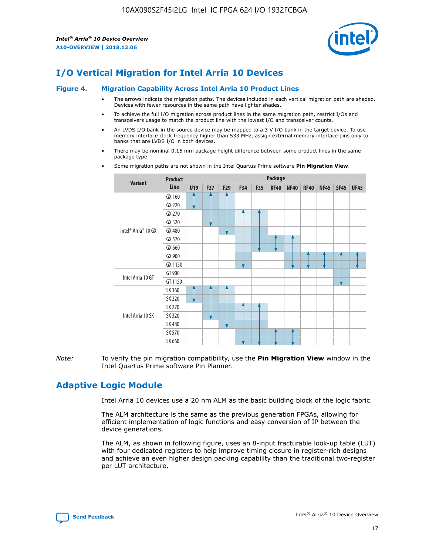

# **I/O Vertical Migration for Intel Arria 10 Devices**

#### **Figure 4. Migration Capability Across Intel Arria 10 Product Lines**

- The arrows indicate the migration paths. The devices included in each vertical migration path are shaded. Devices with fewer resources in the same path have lighter shades.
- To achieve the full I/O migration across product lines in the same migration path, restrict I/Os and transceivers usage to match the product line with the lowest I/O and transceiver counts.
- An LVDS I/O bank in the source device may be mapped to a 3 V I/O bank in the target device. To use memory interface clock frequency higher than 533 MHz, assign external memory interface pins only to banks that are LVDS I/O in both devices.
- There may be nominal 0.15 mm package height difference between some product lines in the same package type.
	- **Variant Product Line Package U19 F27 F29 F34 F35 KF40 NF40 RF40 NF45 SF45 UF45** Intel® Arria® 10 GX GX 160 GX 220 GX 270 GX 320 GX 480 GX 570 GX 660 GX 900 GX 1150 Intel Arria 10 GT GT 900 GT 1150 Intel Arria 10 SX SX 160 SX 220 SX 270 SX 320 SX 480 SX 570 SX 660
- Some migration paths are not shown in the Intel Quartus Prime software **Pin Migration View**.

*Note:* To verify the pin migration compatibility, use the **Pin Migration View** window in the Intel Quartus Prime software Pin Planner.

# **Adaptive Logic Module**

Intel Arria 10 devices use a 20 nm ALM as the basic building block of the logic fabric.

The ALM architecture is the same as the previous generation FPGAs, allowing for efficient implementation of logic functions and easy conversion of IP between the device generations.

The ALM, as shown in following figure, uses an 8-input fracturable look-up table (LUT) with four dedicated registers to help improve timing closure in register-rich designs and achieve an even higher design packing capability than the traditional two-register per LUT architecture.

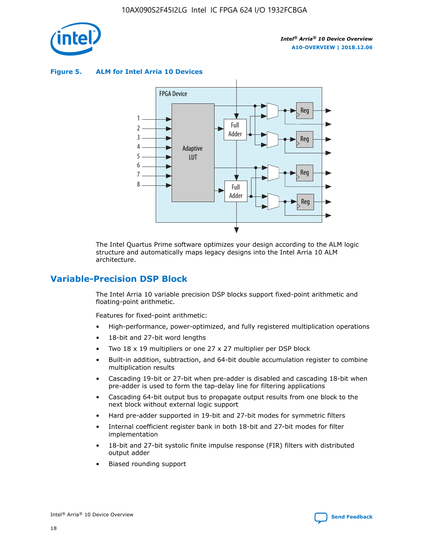

**Figure 5. ALM for Intel Arria 10 Devices**



The Intel Quartus Prime software optimizes your design according to the ALM logic structure and automatically maps legacy designs into the Intel Arria 10 ALM architecture.

# **Variable-Precision DSP Block**

The Intel Arria 10 variable precision DSP blocks support fixed-point arithmetic and floating-point arithmetic.

Features for fixed-point arithmetic:

- High-performance, power-optimized, and fully registered multiplication operations
- 18-bit and 27-bit word lengths
- Two 18 x 19 multipliers or one 27 x 27 multiplier per DSP block
- Built-in addition, subtraction, and 64-bit double accumulation register to combine multiplication results
- Cascading 19-bit or 27-bit when pre-adder is disabled and cascading 18-bit when pre-adder is used to form the tap-delay line for filtering applications
- Cascading 64-bit output bus to propagate output results from one block to the next block without external logic support
- Hard pre-adder supported in 19-bit and 27-bit modes for symmetric filters
- Internal coefficient register bank in both 18-bit and 27-bit modes for filter implementation
- 18-bit and 27-bit systolic finite impulse response (FIR) filters with distributed output adder
- Biased rounding support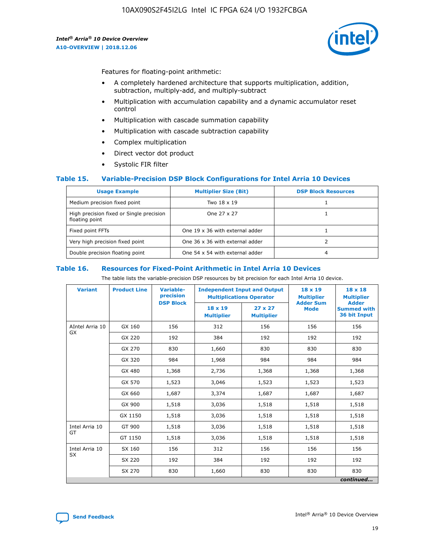

Features for floating-point arithmetic:

- A completely hardened architecture that supports multiplication, addition, subtraction, multiply-add, and multiply-subtract
- Multiplication with accumulation capability and a dynamic accumulator reset control
- Multiplication with cascade summation capability
- Multiplication with cascade subtraction capability
- Complex multiplication
- Direct vector dot product
- Systolic FIR filter

## **Table 15. Variable-Precision DSP Block Configurations for Intel Arria 10 Devices**

| <b>Usage Example</b>                                       | <b>Multiplier Size (Bit)</b>    | <b>DSP Block Resources</b> |
|------------------------------------------------------------|---------------------------------|----------------------------|
| Medium precision fixed point                               | Two 18 x 19                     |                            |
| High precision fixed or Single precision<br>floating point | One 27 x 27                     |                            |
| Fixed point FFTs                                           | One 19 x 36 with external adder |                            |
| Very high precision fixed point                            | One 36 x 36 with external adder |                            |
| Double precision floating point                            | One 54 x 54 with external adder | 4                          |

#### **Table 16. Resources for Fixed-Point Arithmetic in Intel Arria 10 Devices**

The table lists the variable-precision DSP resources by bit precision for each Intel Arria 10 device.

| <b>Variant</b>  | <b>Product Line</b> | <b>Variable-</b><br>precision<br><b>DSP Block</b> | <b>Independent Input and Output</b><br><b>Multiplications Operator</b> |                                     | 18 x 19<br><b>Multiplier</b><br><b>Adder Sum</b> | $18 \times 18$<br><b>Multiplier</b><br><b>Adder</b> |
|-----------------|---------------------|---------------------------------------------------|------------------------------------------------------------------------|-------------------------------------|--------------------------------------------------|-----------------------------------------------------|
|                 |                     |                                                   | 18 x 19<br><b>Multiplier</b>                                           | $27 \times 27$<br><b>Multiplier</b> | <b>Mode</b>                                      | <b>Summed with</b><br>36 bit Input                  |
| AIntel Arria 10 | GX 160              | 156                                               | 312                                                                    | 156                                 | 156                                              | 156                                                 |
| GX              | GX 220              | 192                                               | 384                                                                    | 192                                 | 192                                              | 192                                                 |
|                 | GX 270              | 830                                               | 1,660                                                                  | 830                                 | 830                                              | 830                                                 |
|                 | GX 320              | 984                                               | 1,968                                                                  | 984                                 | 984                                              | 984                                                 |
|                 | GX 480              | 1,368                                             | 2,736                                                                  | 1,368                               | 1,368                                            | 1,368                                               |
|                 | GX 570              | 1,523                                             | 3,046                                                                  | 1,523                               | 1,523                                            | 1,523                                               |
|                 | GX 660              | 1,687                                             | 3,374                                                                  | 1,687                               | 1,687                                            | 1,687                                               |
|                 | GX 900              | 1,518                                             | 3,036                                                                  | 1,518                               | 1,518                                            | 1,518                                               |
|                 | GX 1150             | 1,518                                             | 3,036                                                                  | 1,518                               | 1,518                                            | 1,518                                               |
| Intel Arria 10  | GT 900              | 1,518                                             | 3,036                                                                  | 1,518                               | 1,518                                            | 1,518                                               |
| GT              | GT 1150             | 1,518                                             | 3,036                                                                  | 1,518                               | 1,518                                            | 1,518                                               |
| Intel Arria 10  | SX 160              | 156                                               | 312                                                                    | 156                                 | 156                                              | 156                                                 |
| <b>SX</b>       | SX 220              | 192                                               | 384                                                                    | 192                                 | 192                                              | 192                                                 |
|                 | SX 270              | 830                                               | 1,660                                                                  | 830                                 | 830                                              | 830                                                 |
|                 |                     |                                                   |                                                                        |                                     |                                                  | continued                                           |

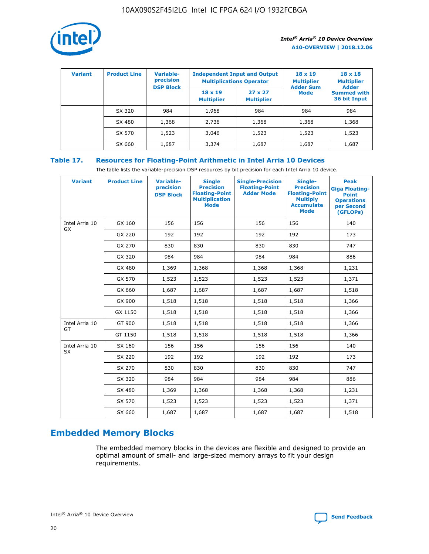

| <b>Variant</b> | <b>Product Line</b> | Variable-<br>precision | <b>Multiplications Operator</b>     | <b>Independent Input and Output</b> | $18 \times 19$<br><b>Multiplier</b> | $18 \times 18$<br><b>Multiplier</b><br><b>Adder</b> |  |
|----------------|---------------------|------------------------|-------------------------------------|-------------------------------------|-------------------------------------|-----------------------------------------------------|--|
|                |                     | <b>DSP Block</b>       | $18 \times 19$<br><b>Multiplier</b> | $27 \times 27$<br><b>Multiplier</b> | <b>Adder Sum</b><br><b>Mode</b>     | <b>Summed with</b><br>36 bit Input                  |  |
|                | SX 320              | 984                    | 1,968                               | 984                                 | 984                                 | 984                                                 |  |
|                | SX 480              | 1,368                  | 2,736                               | 1,368                               | 1,368                               | 1,368                                               |  |
|                | SX 570              | 1,523                  | 3,046                               | 1,523                               | 1,523                               | 1,523                                               |  |
|                | SX 660              | 1,687                  | 3,374                               | 1,687                               | 1,687                               | 1,687                                               |  |

# **Table 17. Resources for Floating-Point Arithmetic in Intel Arria 10 Devices**

The table lists the variable-precision DSP resources by bit precision for each Intel Arria 10 device.

| <b>Variant</b> | <b>Product Line</b> | <b>Variable-</b><br>precision<br><b>DSP Block</b> | <b>Single</b><br><b>Precision</b><br><b>Floating-Point</b><br><b>Multiplication</b><br><b>Mode</b> | <b>Single-Precision</b><br><b>Floating-Point</b><br><b>Adder Mode</b> | Single-<br><b>Precision</b><br><b>Floating-Point</b><br><b>Multiply</b><br><b>Accumulate</b><br><b>Mode</b> | <b>Peak</b><br><b>Giga Floating-</b><br><b>Point</b><br><b>Operations</b><br>per Second<br>(GFLOPs) |
|----------------|---------------------|---------------------------------------------------|----------------------------------------------------------------------------------------------------|-----------------------------------------------------------------------|-------------------------------------------------------------------------------------------------------------|-----------------------------------------------------------------------------------------------------|
| Intel Arria 10 | GX 160              | 156                                               | 156                                                                                                | 156                                                                   | 156                                                                                                         | 140                                                                                                 |
| GX             | GX 220              | 192                                               | 192                                                                                                | 192                                                                   | 192                                                                                                         | 173                                                                                                 |
|                | GX 270              | 830                                               | 830                                                                                                | 830                                                                   | 830                                                                                                         | 747                                                                                                 |
|                | GX 320              | 984                                               | 984                                                                                                | 984                                                                   | 984                                                                                                         | 886                                                                                                 |
|                | GX 480              | 1,369                                             | 1,368                                                                                              | 1,368                                                                 | 1,368                                                                                                       | 1,231                                                                                               |
|                | GX 570              | 1,523                                             | 1,523                                                                                              | 1,523                                                                 | 1,523                                                                                                       | 1,371                                                                                               |
|                | GX 660              | 1,687                                             | 1,687                                                                                              | 1,687                                                                 | 1,687                                                                                                       | 1,518                                                                                               |
|                | GX 900              | 1,518                                             | 1,518                                                                                              | 1,518                                                                 | 1,518                                                                                                       | 1,366                                                                                               |
|                | GX 1150             | 1,518                                             | 1,518                                                                                              | 1,518                                                                 | 1,518                                                                                                       | 1,366                                                                                               |
| Intel Arria 10 | GT 900              | 1,518                                             | 1,518                                                                                              | 1,518                                                                 | 1,518                                                                                                       | 1,366                                                                                               |
| GT             | GT 1150             | 1,518                                             | 1,518                                                                                              | 1,518                                                                 | 1,518                                                                                                       | 1,366                                                                                               |
| Intel Arria 10 | SX 160              | 156                                               | 156                                                                                                | 156                                                                   | 156                                                                                                         | 140                                                                                                 |
| SX             | SX 220              | 192                                               | 192                                                                                                | 192                                                                   | 192                                                                                                         | 173                                                                                                 |
|                | SX 270              | 830                                               | 830                                                                                                | 830                                                                   | 830                                                                                                         | 747                                                                                                 |
|                | SX 320              | 984                                               | 984                                                                                                | 984                                                                   | 984                                                                                                         | 886                                                                                                 |
|                | SX 480              | 1,369                                             | 1,368                                                                                              | 1,368                                                                 | 1,368                                                                                                       | 1,231                                                                                               |
|                | SX 570              | 1,523                                             | 1,523                                                                                              | 1,523                                                                 | 1,523                                                                                                       | 1,371                                                                                               |
|                | SX 660              | 1,687                                             | 1,687                                                                                              | 1,687                                                                 | 1,687                                                                                                       | 1,518                                                                                               |

# **Embedded Memory Blocks**

The embedded memory blocks in the devices are flexible and designed to provide an optimal amount of small- and large-sized memory arrays to fit your design requirements.

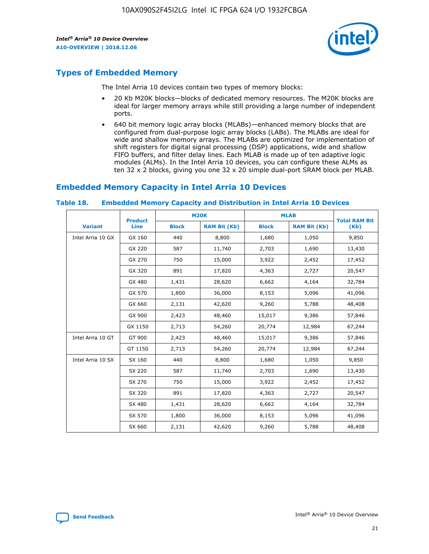

# **Types of Embedded Memory**

The Intel Arria 10 devices contain two types of memory blocks:

- 20 Kb M20K blocks—blocks of dedicated memory resources. The M20K blocks are ideal for larger memory arrays while still providing a large number of independent ports.
- 640 bit memory logic array blocks (MLABs)—enhanced memory blocks that are configured from dual-purpose logic array blocks (LABs). The MLABs are ideal for wide and shallow memory arrays. The MLABs are optimized for implementation of shift registers for digital signal processing (DSP) applications, wide and shallow FIFO buffers, and filter delay lines. Each MLAB is made up of ten adaptive logic modules (ALMs). In the Intel Arria 10 devices, you can configure these ALMs as ten 32 x 2 blocks, giving you one 32 x 20 simple dual-port SRAM block per MLAB.

# **Embedded Memory Capacity in Intel Arria 10 Devices**

|                   | <b>Product</b> |              | <b>M20K</b>         | <b>MLAB</b>  |                     | <b>Total RAM Bit</b> |
|-------------------|----------------|--------------|---------------------|--------------|---------------------|----------------------|
| <b>Variant</b>    | <b>Line</b>    | <b>Block</b> | <b>RAM Bit (Kb)</b> | <b>Block</b> | <b>RAM Bit (Kb)</b> | (Kb)                 |
| Intel Arria 10 GX | GX 160         | 440          | 8,800               | 1,680        | 1,050               | 9,850                |
|                   | GX 220         | 587          | 11,740              | 2,703        | 1,690               | 13,430               |
|                   | GX 270         | 750          | 15,000              | 3,922        | 2,452               | 17,452               |
|                   | GX 320         | 891          | 17,820              | 4,363        | 2,727               | 20,547               |
|                   | GX 480         | 1,431        | 28,620              | 6,662        | 4,164               | 32,784               |
|                   | GX 570         | 1,800        | 36,000              | 8,153        | 5,096               | 41,096               |
|                   | GX 660         | 2,131        | 42,620              | 9,260        | 5,788               | 48,408               |
|                   | GX 900         | 2,423        | 48,460              | 15,017       | 9,386               | 57,846               |
|                   | GX 1150        | 2,713        | 54,260              | 20,774       | 12,984              | 67,244               |
| Intel Arria 10 GT | GT 900         | 2,423        | 48,460              | 15,017       | 9,386               | 57,846               |
|                   | GT 1150        | 2,713        | 54,260              | 20,774       | 12,984              | 67,244               |
| Intel Arria 10 SX | SX 160         | 440          | 8,800               | 1,680        | 1,050               | 9,850                |
|                   | SX 220         | 587          | 11,740              | 2,703        | 1,690               | 13,430               |
|                   | SX 270         | 750          | 15,000              | 3,922        | 2,452               | 17,452               |
|                   | SX 320         | 891          | 17,820              | 4,363        | 2,727               | 20,547               |
|                   | SX 480         | 1,431        | 28,620              | 6,662        | 4,164               | 32,784               |
|                   | SX 570         | 1,800        | 36,000              | 8,153        | 5,096               | 41,096               |
|                   | SX 660         | 2,131        | 42,620              | 9,260        | 5,788               | 48,408               |

#### **Table 18. Embedded Memory Capacity and Distribution in Intel Arria 10 Devices**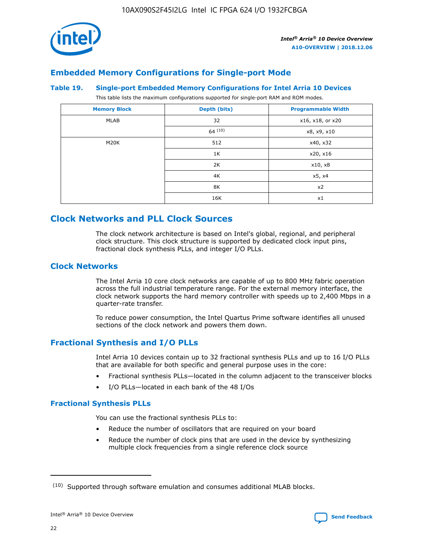

# **Embedded Memory Configurations for Single-port Mode**

#### **Table 19. Single-port Embedded Memory Configurations for Intel Arria 10 Devices**

This table lists the maximum configurations supported for single-port RAM and ROM modes.

| <b>Memory Block</b> | Depth (bits) | <b>Programmable Width</b> |
|---------------------|--------------|---------------------------|
| MLAB                | 32           | x16, x18, or x20          |
|                     | 64(10)       | x8, x9, x10               |
| M20K                | 512          | x40, x32                  |
|                     | 1K           | x20, x16                  |
|                     | 2K           | x10, x8                   |
|                     | 4K           | x5, x4                    |
|                     | 8K           | x2                        |
|                     | 16K          | x1                        |

# **Clock Networks and PLL Clock Sources**

The clock network architecture is based on Intel's global, regional, and peripheral clock structure. This clock structure is supported by dedicated clock input pins, fractional clock synthesis PLLs, and integer I/O PLLs.

# **Clock Networks**

The Intel Arria 10 core clock networks are capable of up to 800 MHz fabric operation across the full industrial temperature range. For the external memory interface, the clock network supports the hard memory controller with speeds up to 2,400 Mbps in a quarter-rate transfer.

To reduce power consumption, the Intel Quartus Prime software identifies all unused sections of the clock network and powers them down.

# **Fractional Synthesis and I/O PLLs**

Intel Arria 10 devices contain up to 32 fractional synthesis PLLs and up to 16 I/O PLLs that are available for both specific and general purpose uses in the core:

- Fractional synthesis PLLs—located in the column adjacent to the transceiver blocks
- I/O PLLs—located in each bank of the 48 I/Os

# **Fractional Synthesis PLLs**

You can use the fractional synthesis PLLs to:

- Reduce the number of oscillators that are required on your board
- Reduce the number of clock pins that are used in the device by synthesizing multiple clock frequencies from a single reference clock source

<sup>(10)</sup> Supported through software emulation and consumes additional MLAB blocks.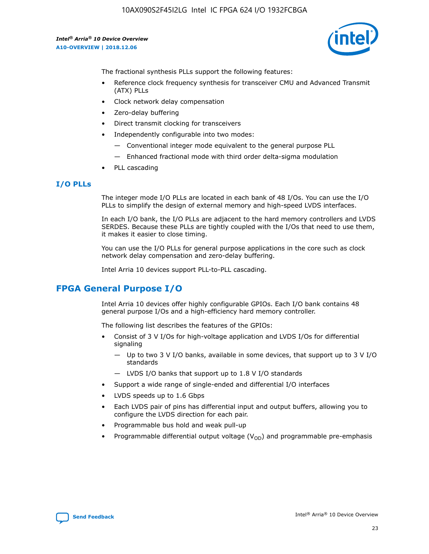

The fractional synthesis PLLs support the following features:

- Reference clock frequency synthesis for transceiver CMU and Advanced Transmit (ATX) PLLs
- Clock network delay compensation
- Zero-delay buffering
- Direct transmit clocking for transceivers
- Independently configurable into two modes:
	- Conventional integer mode equivalent to the general purpose PLL
	- Enhanced fractional mode with third order delta-sigma modulation
- PLL cascading

# **I/O PLLs**

The integer mode I/O PLLs are located in each bank of 48 I/Os. You can use the I/O PLLs to simplify the design of external memory and high-speed LVDS interfaces.

In each I/O bank, the I/O PLLs are adjacent to the hard memory controllers and LVDS SERDES. Because these PLLs are tightly coupled with the I/Os that need to use them, it makes it easier to close timing.

You can use the I/O PLLs for general purpose applications in the core such as clock network delay compensation and zero-delay buffering.

Intel Arria 10 devices support PLL-to-PLL cascading.

# **FPGA General Purpose I/O**

Intel Arria 10 devices offer highly configurable GPIOs. Each I/O bank contains 48 general purpose I/Os and a high-efficiency hard memory controller.

The following list describes the features of the GPIOs:

- Consist of 3 V I/Os for high-voltage application and LVDS I/Os for differential signaling
	- Up to two 3 V I/O banks, available in some devices, that support up to 3 V I/O standards
	- LVDS I/O banks that support up to 1.8 V I/O standards
- Support a wide range of single-ended and differential I/O interfaces
- LVDS speeds up to 1.6 Gbps
- Each LVDS pair of pins has differential input and output buffers, allowing you to configure the LVDS direction for each pair.
- Programmable bus hold and weak pull-up
- Programmable differential output voltage  $(V_{OD})$  and programmable pre-emphasis

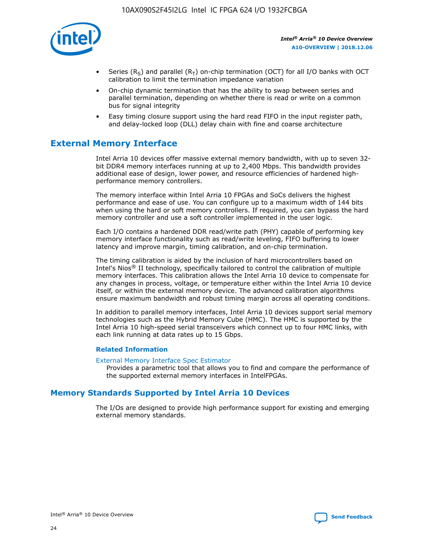

- Series (R<sub>S</sub>) and parallel (R<sub>T</sub>) on-chip termination (OCT) for all I/O banks with OCT calibration to limit the termination impedance variation
- On-chip dynamic termination that has the ability to swap between series and parallel termination, depending on whether there is read or write on a common bus for signal integrity
- Easy timing closure support using the hard read FIFO in the input register path, and delay-locked loop (DLL) delay chain with fine and coarse architecture

# **External Memory Interface**

Intel Arria 10 devices offer massive external memory bandwidth, with up to seven 32 bit DDR4 memory interfaces running at up to 2,400 Mbps. This bandwidth provides additional ease of design, lower power, and resource efficiencies of hardened highperformance memory controllers.

The memory interface within Intel Arria 10 FPGAs and SoCs delivers the highest performance and ease of use. You can configure up to a maximum width of 144 bits when using the hard or soft memory controllers. If required, you can bypass the hard memory controller and use a soft controller implemented in the user logic.

Each I/O contains a hardened DDR read/write path (PHY) capable of performing key memory interface functionality such as read/write leveling, FIFO buffering to lower latency and improve margin, timing calibration, and on-chip termination.

The timing calibration is aided by the inclusion of hard microcontrollers based on Intel's Nios® II technology, specifically tailored to control the calibration of multiple memory interfaces. This calibration allows the Intel Arria 10 device to compensate for any changes in process, voltage, or temperature either within the Intel Arria 10 device itself, or within the external memory device. The advanced calibration algorithms ensure maximum bandwidth and robust timing margin across all operating conditions.

In addition to parallel memory interfaces, Intel Arria 10 devices support serial memory technologies such as the Hybrid Memory Cube (HMC). The HMC is supported by the Intel Arria 10 high-speed serial transceivers which connect up to four HMC links, with each link running at data rates up to 15 Gbps.

## **Related Information**

#### [External Memory Interface Spec Estimator](http://www.altera.com/technology/memory/estimator/mem-emif-index.html)

Provides a parametric tool that allows you to find and compare the performance of the supported external memory interfaces in IntelFPGAs.

# **Memory Standards Supported by Intel Arria 10 Devices**

The I/Os are designed to provide high performance support for existing and emerging external memory standards.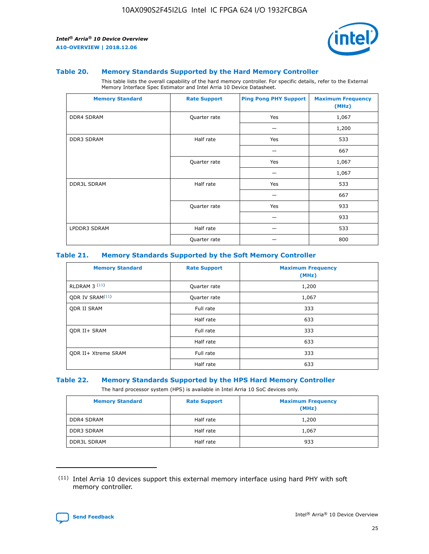

#### **Table 20. Memory Standards Supported by the Hard Memory Controller**

This table lists the overall capability of the hard memory controller. For specific details, refer to the External Memory Interface Spec Estimator and Intel Arria 10 Device Datasheet.

| <b>Memory Standard</b> | <b>Rate Support</b> | <b>Ping Pong PHY Support</b> | <b>Maximum Frequency</b><br>(MHz) |
|------------------------|---------------------|------------------------------|-----------------------------------|
| <b>DDR4 SDRAM</b>      | Quarter rate        | Yes                          | 1,067                             |
|                        |                     |                              | 1,200                             |
| DDR3 SDRAM             | Half rate           | Yes                          | 533                               |
|                        |                     |                              | 667                               |
|                        | Quarter rate        | Yes                          | 1,067                             |
|                        |                     |                              | 1,067                             |
| <b>DDR3L SDRAM</b>     | Half rate           | Yes                          | 533                               |
|                        |                     |                              | 667                               |
|                        | Quarter rate        | Yes                          | 933                               |
|                        |                     |                              | 933                               |
| LPDDR3 SDRAM           | Half rate           |                              | 533                               |
|                        | Quarter rate        |                              | 800                               |

## **Table 21. Memory Standards Supported by the Soft Memory Controller**

| <b>Memory Standard</b>      | <b>Rate Support</b> | <b>Maximum Frequency</b><br>(MHz) |
|-----------------------------|---------------------|-----------------------------------|
| <b>RLDRAM 3 (11)</b>        | Quarter rate        | 1,200                             |
| ODR IV SRAM <sup>(11)</sup> | Quarter rate        | 1,067                             |
| <b>ODR II SRAM</b>          | Full rate           | 333                               |
|                             | Half rate           | 633                               |
| <b>ODR II+ SRAM</b>         | Full rate           | 333                               |
|                             | Half rate           | 633                               |
| <b>ODR II+ Xtreme SRAM</b>  | Full rate           | 333                               |
|                             | Half rate           | 633                               |

#### **Table 22. Memory Standards Supported by the HPS Hard Memory Controller**

The hard processor system (HPS) is available in Intel Arria 10 SoC devices only.

| <b>Memory Standard</b> | <b>Rate Support</b> | <b>Maximum Frequency</b><br>(MHz) |
|------------------------|---------------------|-----------------------------------|
| <b>DDR4 SDRAM</b>      | Half rate           | 1,200                             |
| <b>DDR3 SDRAM</b>      | Half rate           | 1,067                             |
| <b>DDR3L SDRAM</b>     | Half rate           | 933                               |

<sup>(11)</sup> Intel Arria 10 devices support this external memory interface using hard PHY with soft memory controller.

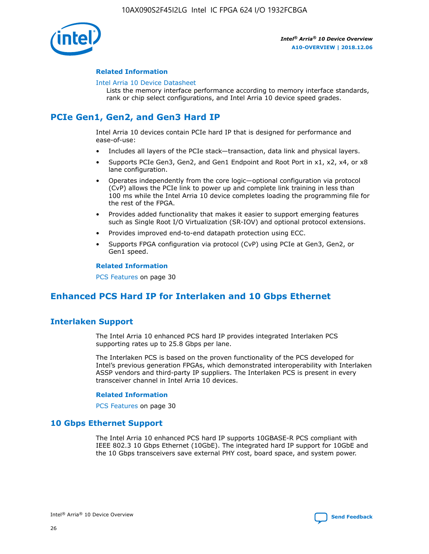

## **Related Information**

#### [Intel Arria 10 Device Datasheet](https://www.intel.com/content/www/us/en/programmable/documentation/mcn1413182292568.html#mcn1413182153340)

Lists the memory interface performance according to memory interface standards, rank or chip select configurations, and Intel Arria 10 device speed grades.

# **PCIe Gen1, Gen2, and Gen3 Hard IP**

Intel Arria 10 devices contain PCIe hard IP that is designed for performance and ease-of-use:

- Includes all layers of the PCIe stack—transaction, data link and physical layers.
- Supports PCIe Gen3, Gen2, and Gen1 Endpoint and Root Port in x1, x2, x4, or x8 lane configuration.
- Operates independently from the core logic—optional configuration via protocol (CvP) allows the PCIe link to power up and complete link training in less than 100 ms while the Intel Arria 10 device completes loading the programming file for the rest of the FPGA.
- Provides added functionality that makes it easier to support emerging features such as Single Root I/O Virtualization (SR-IOV) and optional protocol extensions.
- Provides improved end-to-end datapath protection using ECC.
- Supports FPGA configuration via protocol (CvP) using PCIe at Gen3, Gen2, or Gen1 speed.

#### **Related Information**

PCS Features on page 30

# **Enhanced PCS Hard IP for Interlaken and 10 Gbps Ethernet**

# **Interlaken Support**

The Intel Arria 10 enhanced PCS hard IP provides integrated Interlaken PCS supporting rates up to 25.8 Gbps per lane.

The Interlaken PCS is based on the proven functionality of the PCS developed for Intel's previous generation FPGAs, which demonstrated interoperability with Interlaken ASSP vendors and third-party IP suppliers. The Interlaken PCS is present in every transceiver channel in Intel Arria 10 devices.

## **Related Information**

PCS Features on page 30

# **10 Gbps Ethernet Support**

The Intel Arria 10 enhanced PCS hard IP supports 10GBASE-R PCS compliant with IEEE 802.3 10 Gbps Ethernet (10GbE). The integrated hard IP support for 10GbE and the 10 Gbps transceivers save external PHY cost, board space, and system power.

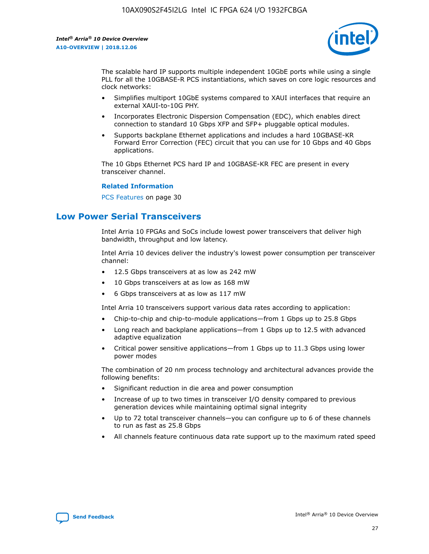

The scalable hard IP supports multiple independent 10GbE ports while using a single PLL for all the 10GBASE-R PCS instantiations, which saves on core logic resources and clock networks:

- Simplifies multiport 10GbE systems compared to XAUI interfaces that require an external XAUI-to-10G PHY.
- Incorporates Electronic Dispersion Compensation (EDC), which enables direct connection to standard 10 Gbps XFP and SFP+ pluggable optical modules.
- Supports backplane Ethernet applications and includes a hard 10GBASE-KR Forward Error Correction (FEC) circuit that you can use for 10 Gbps and 40 Gbps applications.

The 10 Gbps Ethernet PCS hard IP and 10GBASE-KR FEC are present in every transceiver channel.

#### **Related Information**

PCS Features on page 30

# **Low Power Serial Transceivers**

Intel Arria 10 FPGAs and SoCs include lowest power transceivers that deliver high bandwidth, throughput and low latency.

Intel Arria 10 devices deliver the industry's lowest power consumption per transceiver channel:

- 12.5 Gbps transceivers at as low as 242 mW
- 10 Gbps transceivers at as low as 168 mW
- 6 Gbps transceivers at as low as 117 mW

Intel Arria 10 transceivers support various data rates according to application:

- Chip-to-chip and chip-to-module applications—from 1 Gbps up to 25.8 Gbps
- Long reach and backplane applications—from 1 Gbps up to 12.5 with advanced adaptive equalization
- Critical power sensitive applications—from 1 Gbps up to 11.3 Gbps using lower power modes

The combination of 20 nm process technology and architectural advances provide the following benefits:

- Significant reduction in die area and power consumption
- Increase of up to two times in transceiver I/O density compared to previous generation devices while maintaining optimal signal integrity
- Up to 72 total transceiver channels—you can configure up to 6 of these channels to run as fast as 25.8 Gbps
- All channels feature continuous data rate support up to the maximum rated speed

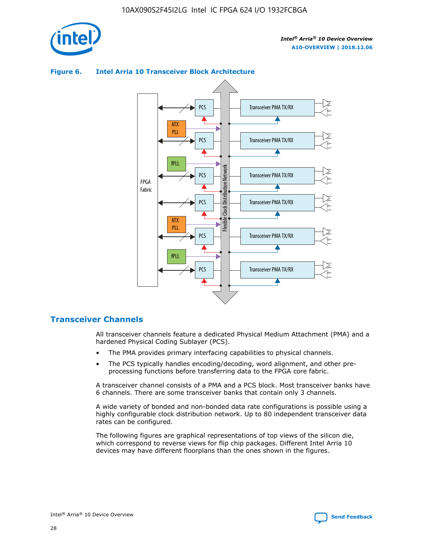



## **Figure 6. Intel Arria 10 Transceiver Block Architecture**

# **Transceiver Channels**

All transceiver channels feature a dedicated Physical Medium Attachment (PMA) and a hardened Physical Coding Sublayer (PCS).

- The PMA provides primary interfacing capabilities to physical channels.
- The PCS typically handles encoding/decoding, word alignment, and other preprocessing functions before transferring data to the FPGA core fabric.

A transceiver channel consists of a PMA and a PCS block. Most transceiver banks have 6 channels. There are some transceiver banks that contain only 3 channels.

A wide variety of bonded and non-bonded data rate configurations is possible using a highly configurable clock distribution network. Up to 80 independent transceiver data rates can be configured.

The following figures are graphical representations of top views of the silicon die, which correspond to reverse views for flip chip packages. Different Intel Arria 10 devices may have different floorplans than the ones shown in the figures.

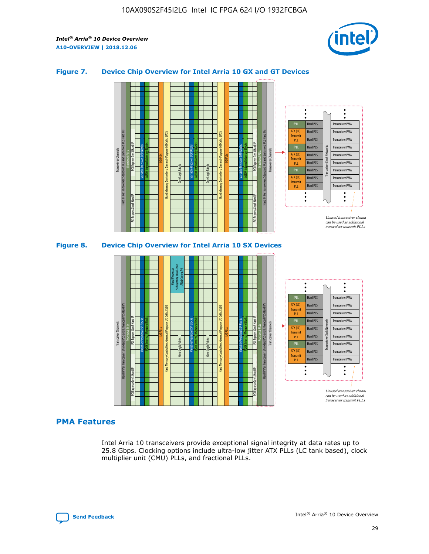

## **Figure 7. Device Chip Overview for Intel Arria 10 GX and GT Devices**



M20K Internal Memory Blocks Core Logic Fabric Transceiver Channels Hard IP Per Transceiver: Standard PCS and Enhanced PCS Hard IPs PCI Express Gen3 Hard IP Fractional PLLs M20K Internal Memory Blocks PCI Express Gen3 Hard IP Variable Precision DSP Blocks I/O PLLs Hard Memory Controllers, General-Purpose I/O Cells, LVDS Hard Processor Subsystem, Dual-Core ARM Cortex A9 M20K Internal Memory Blocks Variable Precision DSP Blocks M20K Internal Memory Blocks Core Logic Fabric I/O PLLs Hard Memory Controllers, General-Purpose I/O Cells, LVDS M20K Internal Memory Blocks Variable Precision DSP Blocks M20K Internal Memory Blocks Transceiver Channels Hard IP Per Transceiver: Standard PCS and Enhanced PCS Hard IPs PCI Express Gen3 Hard IP Fractional PLLs PCI Express Gen3 Hard IP Hard PCS Hard PCS Hard PCS Hard PCS Hard PCS Hard PCS Hard PCS Hard PCS Transceiver PMA Transceiver PMA Transceiver PMA Transceiver PMA Transceiver PMA Transceiver PMA Unused transceiver chann can be used as additional transceiver transmit PLLs Transceiver PMA Transceiver PMA Transceiver Clock Networks ATX (LC) **Transmit** PLL fPLL ATX (LC) Transmi PLL fPLL ATX (LC) **Transmit** PLL

# **PMA Features**

Intel Arria 10 transceivers provide exceptional signal integrity at data rates up to 25.8 Gbps. Clocking options include ultra-low jitter ATX PLLs (LC tank based), clock multiplier unit (CMU) PLLs, and fractional PLLs.

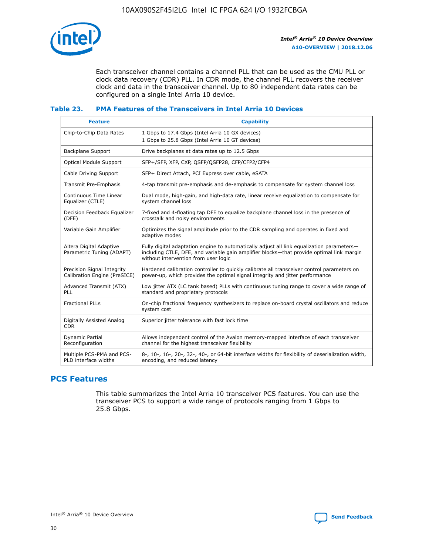

Each transceiver channel contains a channel PLL that can be used as the CMU PLL or clock data recovery (CDR) PLL. In CDR mode, the channel PLL recovers the receiver clock and data in the transceiver channel. Up to 80 independent data rates can be configured on a single Intel Arria 10 device.

# **Table 23. PMA Features of the Transceivers in Intel Arria 10 Devices**

| <b>Feature</b>                                             | <b>Capability</b>                                                                                                                                                                                                             |
|------------------------------------------------------------|-------------------------------------------------------------------------------------------------------------------------------------------------------------------------------------------------------------------------------|
| Chip-to-Chip Data Rates                                    | 1 Gbps to 17.4 Gbps (Intel Arria 10 GX devices)<br>1 Gbps to 25.8 Gbps (Intel Arria 10 GT devices)                                                                                                                            |
| Backplane Support                                          | Drive backplanes at data rates up to 12.5 Gbps                                                                                                                                                                                |
| <b>Optical Module Support</b>                              | SFP+/SFP, XFP, CXP, OSFP/QSFP28, CFP/CFP2/CFP4                                                                                                                                                                                |
| Cable Driving Support                                      | SFP+ Direct Attach, PCI Express over cable, eSATA                                                                                                                                                                             |
| Transmit Pre-Emphasis                                      | 4-tap transmit pre-emphasis and de-emphasis to compensate for system channel loss                                                                                                                                             |
| Continuous Time Linear<br>Equalizer (CTLE)                 | Dual mode, high-gain, and high-data rate, linear receive equalization to compensate for<br>system channel loss                                                                                                                |
| Decision Feedback Equalizer<br>(DFE)                       | 7-fixed and 4-floating tap DFE to equalize backplane channel loss in the presence of<br>crosstalk and noisy environments                                                                                                      |
| Variable Gain Amplifier                                    | Optimizes the signal amplitude prior to the CDR sampling and operates in fixed and<br>adaptive modes                                                                                                                          |
| Altera Digital Adaptive<br>Parametric Tuning (ADAPT)       | Fully digital adaptation engine to automatically adjust all link equalization parameters-<br>including CTLE, DFE, and variable gain amplifier blocks-that provide optimal link margin<br>without intervention from user logic |
| Precision Signal Integrity<br>Calibration Engine (PreSICE) | Hardened calibration controller to quickly calibrate all transceiver control parameters on<br>power-up, which provides the optimal signal integrity and jitter performance                                                    |
| Advanced Transmit (ATX)<br>PLL                             | Low jitter ATX (LC tank based) PLLs with continuous tuning range to cover a wide range of<br>standard and proprietary protocols                                                                                               |
| <b>Fractional PLLs</b>                                     | On-chip fractional frequency synthesizers to replace on-board crystal oscillators and reduce<br>system cost                                                                                                                   |
| Digitally Assisted Analog<br><b>CDR</b>                    | Superior jitter tolerance with fast lock time                                                                                                                                                                                 |
| Dynamic Partial<br>Reconfiguration                         | Allows independent control of the Avalon memory-mapped interface of each transceiver<br>channel for the highest transceiver flexibility                                                                                       |
| Multiple PCS-PMA and PCS-<br>PLD interface widths          | 8-, 10-, 16-, 20-, 32-, 40-, or 64-bit interface widths for flexibility of deserialization width,<br>encoding, and reduced latency                                                                                            |

# **PCS Features**

This table summarizes the Intel Arria 10 transceiver PCS features. You can use the transceiver PCS to support a wide range of protocols ranging from 1 Gbps to 25.8 Gbps.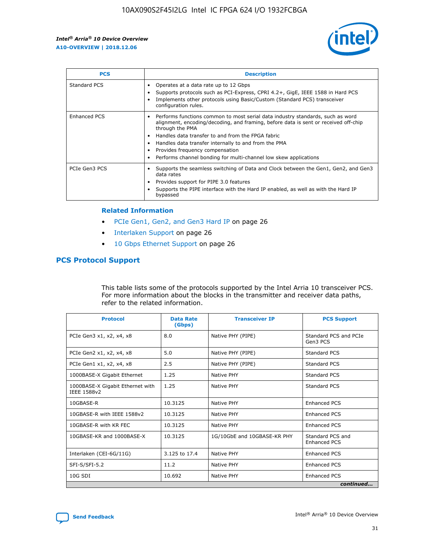

| <b>PCS</b>    | <b>Description</b>                                                                                                                                                                                                                                                                                                                                                                                             |
|---------------|----------------------------------------------------------------------------------------------------------------------------------------------------------------------------------------------------------------------------------------------------------------------------------------------------------------------------------------------------------------------------------------------------------------|
| Standard PCS  | Operates at a data rate up to 12 Gbps<br>Supports protocols such as PCI-Express, CPRI 4.2+, GigE, IEEE 1588 in Hard PCS<br>Implements other protocols using Basic/Custom (Standard PCS) transceiver<br>configuration rules.                                                                                                                                                                                    |
| Enhanced PCS  | Performs functions common to most serial data industry standards, such as word<br>alignment, encoding/decoding, and framing, before data is sent or received off-chip<br>through the PMA<br>• Handles data transfer to and from the FPGA fabric<br>Handles data transfer internally to and from the PMA<br>Provides frequency compensation<br>Performs channel bonding for multi-channel low skew applications |
| PCIe Gen3 PCS | Supports the seamless switching of Data and Clock between the Gen1, Gen2, and Gen3<br>data rates<br>Provides support for PIPE 3.0 features<br>Supports the PIPE interface with the Hard IP enabled, as well as with the Hard IP<br>bypassed                                                                                                                                                                    |

#### **Related Information**

- PCIe Gen1, Gen2, and Gen3 Hard IP on page 26
- Interlaken Support on page 26
- 10 Gbps Ethernet Support on page 26

# **PCS Protocol Support**

This table lists some of the protocols supported by the Intel Arria 10 transceiver PCS. For more information about the blocks in the transmitter and receiver data paths, refer to the related information.

| <b>Protocol</b>                                 | <b>Data Rate</b><br>(Gbps) | <b>Transceiver IP</b>       | <b>PCS Support</b>                      |
|-------------------------------------------------|----------------------------|-----------------------------|-----------------------------------------|
| PCIe Gen3 x1, x2, x4, x8                        | 8.0                        | Native PHY (PIPE)           | Standard PCS and PCIe<br>Gen3 PCS       |
| PCIe Gen2 x1, x2, x4, x8                        | 5.0                        | Native PHY (PIPE)           | <b>Standard PCS</b>                     |
| PCIe Gen1 x1, x2, x4, x8                        | 2.5                        | Native PHY (PIPE)           | Standard PCS                            |
| 1000BASE-X Gigabit Ethernet                     | 1.25                       | Native PHY                  | <b>Standard PCS</b>                     |
| 1000BASE-X Gigabit Ethernet with<br>IEEE 1588v2 | 1.25                       | Native PHY                  | Standard PCS                            |
| 10GBASE-R                                       | 10.3125                    | Native PHY                  | <b>Enhanced PCS</b>                     |
| 10GBASE-R with IEEE 1588v2                      | 10.3125                    | Native PHY                  | <b>Enhanced PCS</b>                     |
| 10GBASE-R with KR FEC                           | 10.3125                    | Native PHY                  | <b>Enhanced PCS</b>                     |
| 10GBASE-KR and 1000BASE-X                       | 10.3125                    | 1G/10GbE and 10GBASE-KR PHY | Standard PCS and<br><b>Enhanced PCS</b> |
| Interlaken (CEI-6G/11G)                         | 3.125 to 17.4              | Native PHY                  | <b>Enhanced PCS</b>                     |
| SFI-S/SFI-5.2                                   | 11.2                       | Native PHY                  | <b>Enhanced PCS</b>                     |
| $10G$ SDI                                       | 10.692                     | Native PHY                  | <b>Enhanced PCS</b>                     |
|                                                 |                            |                             | continued                               |

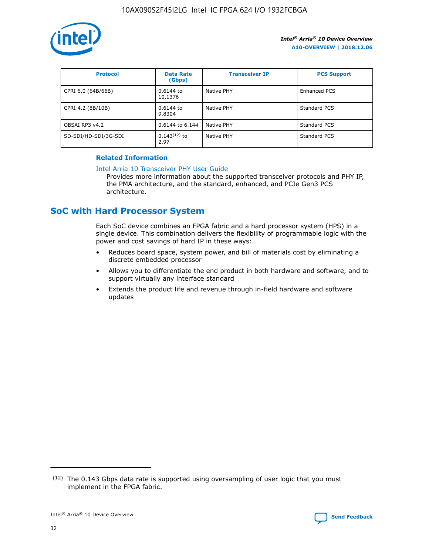

| <b>Protocol</b>      | <b>Data Rate</b><br>(Gbps) | <b>Transceiver IP</b> | <b>PCS Support</b> |
|----------------------|----------------------------|-----------------------|--------------------|
| CPRI 6.0 (64B/66B)   | 0.6144 to<br>10.1376       | Native PHY            | Enhanced PCS       |
| CPRI 4.2 (8B/10B)    | 0.6144 to<br>9.8304        | Native PHY            | Standard PCS       |
| OBSAI RP3 v4.2       | 0.6144 to 6.144            | Native PHY            | Standard PCS       |
| SD-SDI/HD-SDI/3G-SDI | $0.143(12)$ to<br>2.97     | Native PHY            | Standard PCS       |

# **Related Information**

#### [Intel Arria 10 Transceiver PHY User Guide](https://www.intel.com/content/www/us/en/programmable/documentation/nik1398707230472.html#nik1398707091164)

Provides more information about the supported transceiver protocols and PHY IP, the PMA architecture, and the standard, enhanced, and PCIe Gen3 PCS architecture.

# **SoC with Hard Processor System**

Each SoC device combines an FPGA fabric and a hard processor system (HPS) in a single device. This combination delivers the flexibility of programmable logic with the power and cost savings of hard IP in these ways:

- Reduces board space, system power, and bill of materials cost by eliminating a discrete embedded processor
- Allows you to differentiate the end product in both hardware and software, and to support virtually any interface standard
- Extends the product life and revenue through in-field hardware and software updates

 $(12)$  The 0.143 Gbps data rate is supported using oversampling of user logic that you must implement in the FPGA fabric.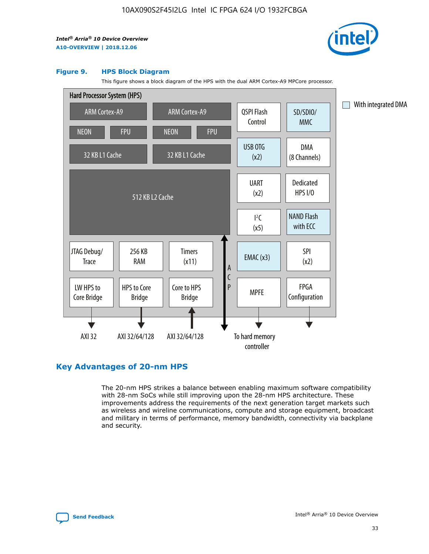

#### **Figure 9. HPS Block Diagram**

This figure shows a block diagram of the HPS with the dual ARM Cortex-A9 MPCore processor.



# **Key Advantages of 20-nm HPS**

The 20-nm HPS strikes a balance between enabling maximum software compatibility with 28-nm SoCs while still improving upon the 28-nm HPS architecture. These improvements address the requirements of the next generation target markets such as wireless and wireline communications, compute and storage equipment, broadcast and military in terms of performance, memory bandwidth, connectivity via backplane and security.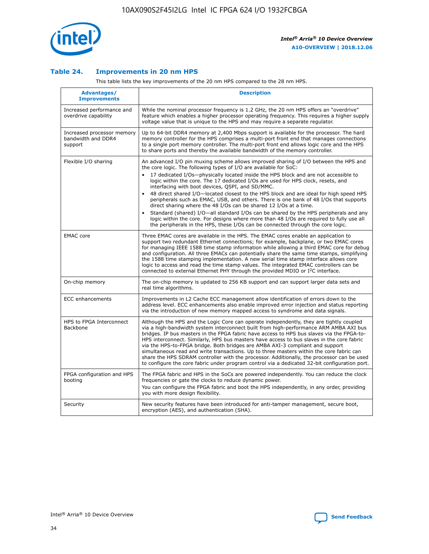

## **Table 24. Improvements in 20 nm HPS**

This table lists the key improvements of the 20 nm HPS compared to the 28 nm HPS.

| Advantages/<br><b>Improvements</b>                          | <b>Description</b>                                                                                                                                                                                                                                                                                                                                                                                                                                                                                                                                                                                                                                                                                                                                                                                                                                                                                                                                |
|-------------------------------------------------------------|---------------------------------------------------------------------------------------------------------------------------------------------------------------------------------------------------------------------------------------------------------------------------------------------------------------------------------------------------------------------------------------------------------------------------------------------------------------------------------------------------------------------------------------------------------------------------------------------------------------------------------------------------------------------------------------------------------------------------------------------------------------------------------------------------------------------------------------------------------------------------------------------------------------------------------------------------|
| Increased performance and<br>overdrive capability           | While the nominal processor frequency is 1.2 GHz, the 20 nm HPS offers an "overdrive"<br>feature which enables a higher processor operating frequency. This requires a higher supply<br>voltage value that is unique to the HPS and may require a separate regulator.                                                                                                                                                                                                                                                                                                                                                                                                                                                                                                                                                                                                                                                                             |
| Increased processor memory<br>bandwidth and DDR4<br>support | Up to 64-bit DDR4 memory at 2,400 Mbps support is available for the processor. The hard<br>memory controller for the HPS comprises a multi-port front end that manages connections<br>to a single port memory controller. The multi-port front end allows logic core and the HPS<br>to share ports and thereby the available bandwidth of the memory controller.                                                                                                                                                                                                                                                                                                                                                                                                                                                                                                                                                                                  |
| Flexible I/O sharing                                        | An advanced I/O pin muxing scheme allows improved sharing of I/O between the HPS and<br>the core logic. The following types of I/O are available for SoC:<br>17 dedicated I/Os-physically located inside the HPS block and are not accessible to<br>$\bullet$<br>logic within the core. The 17 dedicated I/Os are used for HPS clock, resets, and<br>interfacing with boot devices, QSPI, and SD/MMC.<br>48 direct shared I/O-located closest to the HPS block and are ideal for high speed HPS<br>$\bullet$<br>peripherals such as EMAC, USB, and others. There is one bank of 48 I/Os that supports<br>direct sharing where the 48 I/Os can be shared 12 I/Os at a time.<br>Standard (shared) I/O-all standard I/Os can be shared by the HPS peripherals and any<br>logic within the core. For designs where more than 48 I/Os are reguired to fully use all<br>the peripherals in the HPS, these I/Os can be connected through the core logic. |
| <b>EMAC</b> core                                            | Three EMAC cores are available in the HPS. The EMAC cores enable an application to<br>support two redundant Ethernet connections; for example, backplane, or two EMAC cores<br>for managing IEEE 1588 time stamp information while allowing a third EMAC core for debug<br>and configuration. All three EMACs can potentially share the same time stamps, simplifying<br>the 1588 time stamping implementation. A new serial time stamp interface allows core<br>logic to access and read the time stamp values. The integrated EMAC controllers can be<br>connected to external Ethernet PHY through the provided MDIO or I <sup>2</sup> C interface.                                                                                                                                                                                                                                                                                            |
| On-chip memory                                              | The on-chip memory is updated to 256 KB support and can support larger data sets and<br>real time algorithms.                                                                                                                                                                                                                                                                                                                                                                                                                                                                                                                                                                                                                                                                                                                                                                                                                                     |
| <b>ECC</b> enhancements                                     | Improvements in L2 Cache ECC management allow identification of errors down to the<br>address level. ECC enhancements also enable improved error injection and status reporting<br>via the introduction of new memory mapped access to syndrome and data signals.                                                                                                                                                                                                                                                                                                                                                                                                                                                                                                                                                                                                                                                                                 |
| HPS to FPGA Interconnect<br>Backbone                        | Although the HPS and the Logic Core can operate independently, they are tightly coupled<br>via a high-bandwidth system interconnect built from high-performance ARM AMBA AXI bus<br>bridges. IP bus masters in the FPGA fabric have access to HPS bus slaves via the FPGA-to-<br>HPS interconnect. Similarly, HPS bus masters have access to bus slaves in the core fabric<br>via the HPS-to-FPGA bridge. Both bridges are AMBA AXI-3 compliant and support<br>simultaneous read and write transactions. Up to three masters within the core fabric can<br>share the HPS SDRAM controller with the processor. Additionally, the processor can be used<br>to configure the core fabric under program control via a dedicated 32-bit configuration port.                                                                                                                                                                                            |
| FPGA configuration and HPS<br>booting                       | The FPGA fabric and HPS in the SoCs are powered independently. You can reduce the clock<br>frequencies or gate the clocks to reduce dynamic power.<br>You can configure the FPGA fabric and boot the HPS independently, in any order, providing<br>you with more design flexibility.                                                                                                                                                                                                                                                                                                                                                                                                                                                                                                                                                                                                                                                              |
| Security                                                    | New security features have been introduced for anti-tamper management, secure boot,<br>encryption (AES), and authentication (SHA).                                                                                                                                                                                                                                                                                                                                                                                                                                                                                                                                                                                                                                                                                                                                                                                                                |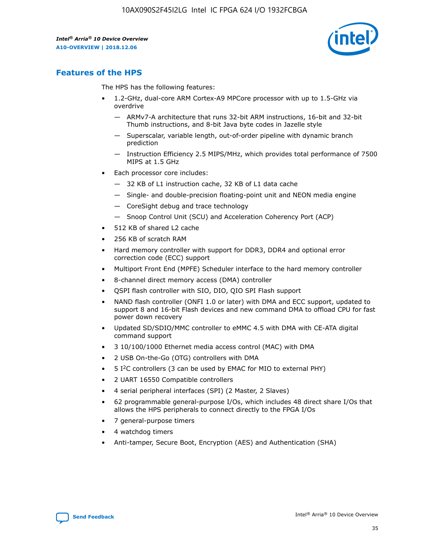

# **Features of the HPS**

The HPS has the following features:

- 1.2-GHz, dual-core ARM Cortex-A9 MPCore processor with up to 1.5-GHz via overdrive
	- ARMv7-A architecture that runs 32-bit ARM instructions, 16-bit and 32-bit Thumb instructions, and 8-bit Java byte codes in Jazelle style
	- Superscalar, variable length, out-of-order pipeline with dynamic branch prediction
	- Instruction Efficiency 2.5 MIPS/MHz, which provides total performance of 7500 MIPS at 1.5 GHz
- Each processor core includes:
	- 32 KB of L1 instruction cache, 32 KB of L1 data cache
	- Single- and double-precision floating-point unit and NEON media engine
	- CoreSight debug and trace technology
	- Snoop Control Unit (SCU) and Acceleration Coherency Port (ACP)
- 512 KB of shared L2 cache
- 256 KB of scratch RAM
- Hard memory controller with support for DDR3, DDR4 and optional error correction code (ECC) support
- Multiport Front End (MPFE) Scheduler interface to the hard memory controller
- 8-channel direct memory access (DMA) controller
- QSPI flash controller with SIO, DIO, QIO SPI Flash support
- NAND flash controller (ONFI 1.0 or later) with DMA and ECC support, updated to support 8 and 16-bit Flash devices and new command DMA to offload CPU for fast power down recovery
- Updated SD/SDIO/MMC controller to eMMC 4.5 with DMA with CE-ATA digital command support
- 3 10/100/1000 Ethernet media access control (MAC) with DMA
- 2 USB On-the-Go (OTG) controllers with DMA
- $\bullet$  5 I<sup>2</sup>C controllers (3 can be used by EMAC for MIO to external PHY)
- 2 UART 16550 Compatible controllers
- 4 serial peripheral interfaces (SPI) (2 Master, 2 Slaves)
- 62 programmable general-purpose I/Os, which includes 48 direct share I/Os that allows the HPS peripherals to connect directly to the FPGA I/Os
- 7 general-purpose timers
- 4 watchdog timers
- Anti-tamper, Secure Boot, Encryption (AES) and Authentication (SHA)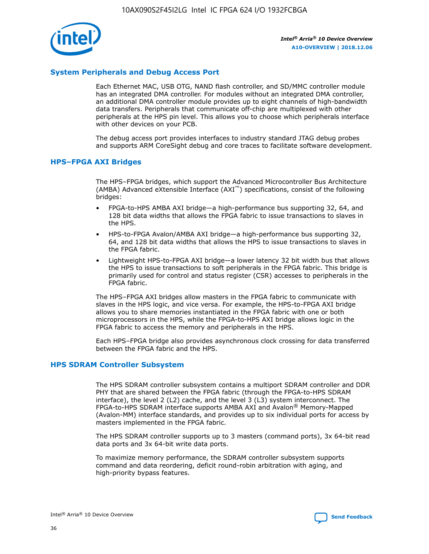

# **System Peripherals and Debug Access Port**

Each Ethernet MAC, USB OTG, NAND flash controller, and SD/MMC controller module has an integrated DMA controller. For modules without an integrated DMA controller, an additional DMA controller module provides up to eight channels of high-bandwidth data transfers. Peripherals that communicate off-chip are multiplexed with other peripherals at the HPS pin level. This allows you to choose which peripherals interface with other devices on your PCB.

The debug access port provides interfaces to industry standard JTAG debug probes and supports ARM CoreSight debug and core traces to facilitate software development.

## **HPS–FPGA AXI Bridges**

The HPS–FPGA bridges, which support the Advanced Microcontroller Bus Architecture (AMBA) Advanced eXtensible Interface (AXI™) specifications, consist of the following bridges:

- FPGA-to-HPS AMBA AXI bridge—a high-performance bus supporting 32, 64, and 128 bit data widths that allows the FPGA fabric to issue transactions to slaves in the HPS.
- HPS-to-FPGA Avalon/AMBA AXI bridge—a high-performance bus supporting 32, 64, and 128 bit data widths that allows the HPS to issue transactions to slaves in the FPGA fabric.
- Lightweight HPS-to-FPGA AXI bridge—a lower latency 32 bit width bus that allows the HPS to issue transactions to soft peripherals in the FPGA fabric. This bridge is primarily used for control and status register (CSR) accesses to peripherals in the FPGA fabric.

The HPS–FPGA AXI bridges allow masters in the FPGA fabric to communicate with slaves in the HPS logic, and vice versa. For example, the HPS-to-FPGA AXI bridge allows you to share memories instantiated in the FPGA fabric with one or both microprocessors in the HPS, while the FPGA-to-HPS AXI bridge allows logic in the FPGA fabric to access the memory and peripherals in the HPS.

Each HPS–FPGA bridge also provides asynchronous clock crossing for data transferred between the FPGA fabric and the HPS.

## **HPS SDRAM Controller Subsystem**

The HPS SDRAM controller subsystem contains a multiport SDRAM controller and DDR PHY that are shared between the FPGA fabric (through the FPGA-to-HPS SDRAM interface), the level 2 (L2) cache, and the level 3 (L3) system interconnect. The FPGA-to-HPS SDRAM interface supports AMBA AXI and Avalon® Memory-Mapped (Avalon-MM) interface standards, and provides up to six individual ports for access by masters implemented in the FPGA fabric.

The HPS SDRAM controller supports up to 3 masters (command ports), 3x 64-bit read data ports and 3x 64-bit write data ports.

To maximize memory performance, the SDRAM controller subsystem supports command and data reordering, deficit round-robin arbitration with aging, and high-priority bypass features.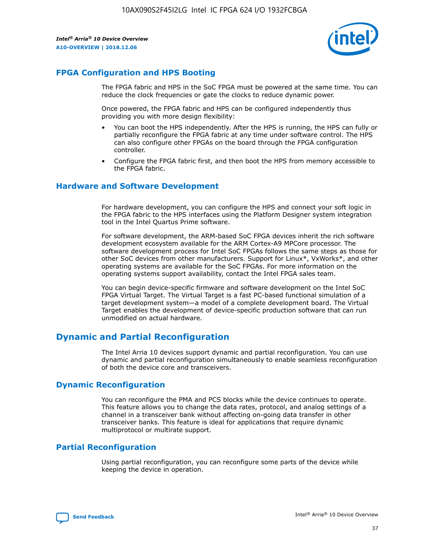

# **FPGA Configuration and HPS Booting**

The FPGA fabric and HPS in the SoC FPGA must be powered at the same time. You can reduce the clock frequencies or gate the clocks to reduce dynamic power.

Once powered, the FPGA fabric and HPS can be configured independently thus providing you with more design flexibility:

- You can boot the HPS independently. After the HPS is running, the HPS can fully or partially reconfigure the FPGA fabric at any time under software control. The HPS can also configure other FPGAs on the board through the FPGA configuration controller.
- Configure the FPGA fabric first, and then boot the HPS from memory accessible to the FPGA fabric.

## **Hardware and Software Development**

For hardware development, you can configure the HPS and connect your soft logic in the FPGA fabric to the HPS interfaces using the Platform Designer system integration tool in the Intel Quartus Prime software.

For software development, the ARM-based SoC FPGA devices inherit the rich software development ecosystem available for the ARM Cortex-A9 MPCore processor. The software development process for Intel SoC FPGAs follows the same steps as those for other SoC devices from other manufacturers. Support for Linux\*, VxWorks\*, and other operating systems are available for the SoC FPGAs. For more information on the operating systems support availability, contact the Intel FPGA sales team.

You can begin device-specific firmware and software development on the Intel SoC FPGA Virtual Target. The Virtual Target is a fast PC-based functional simulation of a target development system—a model of a complete development board. The Virtual Target enables the development of device-specific production software that can run unmodified on actual hardware.

# **Dynamic and Partial Reconfiguration**

The Intel Arria 10 devices support dynamic and partial reconfiguration. You can use dynamic and partial reconfiguration simultaneously to enable seamless reconfiguration of both the device core and transceivers.

# **Dynamic Reconfiguration**

You can reconfigure the PMA and PCS blocks while the device continues to operate. This feature allows you to change the data rates, protocol, and analog settings of a channel in a transceiver bank without affecting on-going data transfer in other transceiver banks. This feature is ideal for applications that require dynamic multiprotocol or multirate support.

# **Partial Reconfiguration**

Using partial reconfiguration, you can reconfigure some parts of the device while keeping the device in operation.

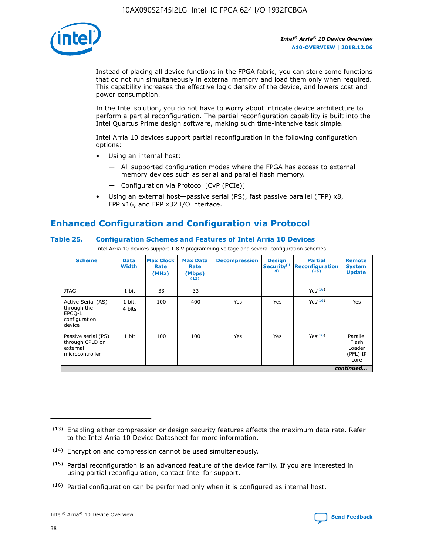

Instead of placing all device functions in the FPGA fabric, you can store some functions that do not run simultaneously in external memory and load them only when required. This capability increases the effective logic density of the device, and lowers cost and power consumption.

In the Intel solution, you do not have to worry about intricate device architecture to perform a partial reconfiguration. The partial reconfiguration capability is built into the Intel Quartus Prime design software, making such time-intensive task simple.

Intel Arria 10 devices support partial reconfiguration in the following configuration options:

- Using an internal host:
	- All supported configuration modes where the FPGA has access to external memory devices such as serial and parallel flash memory.
	- Configuration via Protocol [CvP (PCIe)]
- Using an external host—passive serial (PS), fast passive parallel (FPP) x8, FPP x16, and FPP x32 I/O interface.

# **Enhanced Configuration and Configuration via Protocol**

# **Table 25. Configuration Schemes and Features of Intel Arria 10 Devices**

Intel Arria 10 devices support 1.8 V programming voltage and several configuration schemes.

| <b>Scheme</b>                                                          | <b>Data</b><br><b>Width</b> | <b>Max Clock</b><br>Rate<br>(MHz) | <b>Max Data</b><br>Rate<br>(Mbps)<br>(13) | <b>Decompression</b> | <b>Design</b><br>Security <sup>(1</sup><br>4) | <b>Partial</b><br><b>Reconfiguration</b><br>(15) | <b>Remote</b><br><b>System</b><br><b>Update</b> |
|------------------------------------------------------------------------|-----------------------------|-----------------------------------|-------------------------------------------|----------------------|-----------------------------------------------|--------------------------------------------------|-------------------------------------------------|
| <b>JTAG</b>                                                            | 1 bit                       | 33                                | 33                                        |                      |                                               | Yes(16)                                          |                                                 |
| Active Serial (AS)<br>through the<br>EPCO-L<br>configuration<br>device | 1 bit,<br>4 bits            | 100                               | 400                                       | Yes                  | Yes                                           | $Y_{PS}(16)$                                     | Yes                                             |
| Passive serial (PS)<br>through CPLD or<br>external<br>microcontroller  | 1 bit                       | 100                               | 100                                       | Yes                  | Yes                                           | Yes(16)                                          | Parallel<br>Flash<br>Loader<br>(PFL) IP<br>core |
|                                                                        |                             |                                   |                                           |                      |                                               |                                                  | continued                                       |

<sup>(13)</sup> Enabling either compression or design security features affects the maximum data rate. Refer to the Intel Arria 10 Device Datasheet for more information.

<sup>(14)</sup> Encryption and compression cannot be used simultaneously.

 $<sup>(15)</sup>$  Partial reconfiguration is an advanced feature of the device family. If you are interested in</sup> using partial reconfiguration, contact Intel for support.

 $(16)$  Partial configuration can be performed only when it is configured as internal host.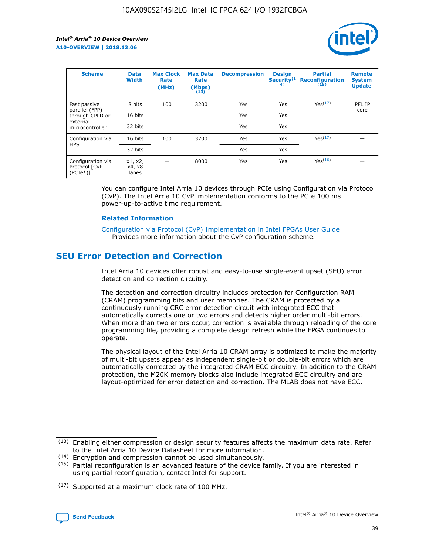

| <b>Scheme</b>                                    | <b>Data</b><br><b>Width</b> | <b>Max Clock</b><br>Rate<br>(MHz) | <b>Max Data</b><br>Rate<br>(Mbps)<br>(13) | <b>Decompression</b> | <b>Design</b><br>Security <sup>(1</sup><br>4) | <b>Partial</b><br><b>Reconfiguration</b><br>(15) | <b>Remote</b><br><b>System</b><br><b>Update</b> |
|--------------------------------------------------|-----------------------------|-----------------------------------|-------------------------------------------|----------------------|-----------------------------------------------|--------------------------------------------------|-------------------------------------------------|
| Fast passive                                     | 8 bits                      | 100                               | 3200                                      | <b>Yes</b>           | Yes                                           | Yes(17)                                          | PFL IP                                          |
| parallel (FPP)<br>through CPLD or                | 16 bits                     |                                   |                                           | Yes                  | Yes                                           |                                                  | core                                            |
| external<br>microcontroller                      | 32 bits                     |                                   |                                           | Yes                  | Yes                                           |                                                  |                                                 |
| Configuration via                                | 16 bits                     | 100                               | 3200                                      | Yes                  | Yes                                           | Yes <sup>(17)</sup>                              |                                                 |
| <b>HPS</b>                                       | 32 bits                     |                                   |                                           | Yes                  | Yes                                           |                                                  |                                                 |
| Configuration via<br>Protocol [CvP<br>$(PCIe^*)$ | x1, x2,<br>x4, x8<br>lanes  |                                   | 8000                                      | Yes                  | Yes                                           | Yes <sup>(16)</sup>                              |                                                 |

You can configure Intel Arria 10 devices through PCIe using Configuration via Protocol (CvP). The Intel Arria 10 CvP implementation conforms to the PCIe 100 ms power-up-to-active time requirement.

#### **Related Information**

[Configuration via Protocol \(CvP\) Implementation in Intel FPGAs User Guide](https://www.intel.com/content/www/us/en/programmable/documentation/dsu1441819344145.html#dsu1442269728522) Provides more information about the CvP configuration scheme.

# **SEU Error Detection and Correction**

Intel Arria 10 devices offer robust and easy-to-use single-event upset (SEU) error detection and correction circuitry.

The detection and correction circuitry includes protection for Configuration RAM (CRAM) programming bits and user memories. The CRAM is protected by a continuously running CRC error detection circuit with integrated ECC that automatically corrects one or two errors and detects higher order multi-bit errors. When more than two errors occur, correction is available through reloading of the core programming file, providing a complete design refresh while the FPGA continues to operate.

The physical layout of the Intel Arria 10 CRAM array is optimized to make the majority of multi-bit upsets appear as independent single-bit or double-bit errors which are automatically corrected by the integrated CRAM ECC circuitry. In addition to the CRAM protection, the M20K memory blocks also include integrated ECC circuitry and are layout-optimized for error detection and correction. The MLAB does not have ECC.

(14) Encryption and compression cannot be used simultaneously.

<sup>(17)</sup> Supported at a maximum clock rate of 100 MHz.



 $(13)$  Enabling either compression or design security features affects the maximum data rate. Refer to the Intel Arria 10 Device Datasheet for more information.

 $(15)$  Partial reconfiguration is an advanced feature of the device family. If you are interested in using partial reconfiguration, contact Intel for support.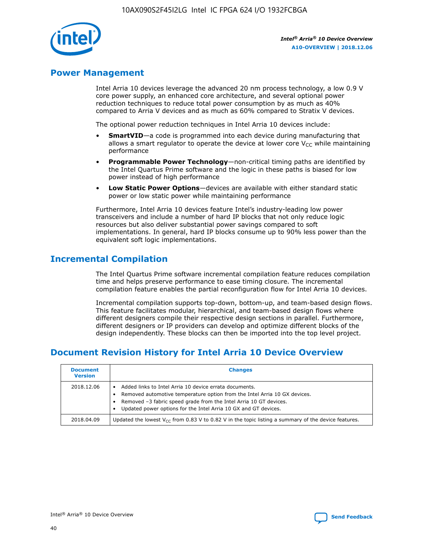

# **Power Management**

Intel Arria 10 devices leverage the advanced 20 nm process technology, a low 0.9 V core power supply, an enhanced core architecture, and several optional power reduction techniques to reduce total power consumption by as much as 40% compared to Arria V devices and as much as 60% compared to Stratix V devices.

The optional power reduction techniques in Intel Arria 10 devices include:

- **SmartVID**—a code is programmed into each device during manufacturing that allows a smart regulator to operate the device at lower core  $V_{CC}$  while maintaining performance
- **Programmable Power Technology**—non-critical timing paths are identified by the Intel Quartus Prime software and the logic in these paths is biased for low power instead of high performance
- **Low Static Power Options**—devices are available with either standard static power or low static power while maintaining performance

Furthermore, Intel Arria 10 devices feature Intel's industry-leading low power transceivers and include a number of hard IP blocks that not only reduce logic resources but also deliver substantial power savings compared to soft implementations. In general, hard IP blocks consume up to 90% less power than the equivalent soft logic implementations.

# **Incremental Compilation**

The Intel Quartus Prime software incremental compilation feature reduces compilation time and helps preserve performance to ease timing closure. The incremental compilation feature enables the partial reconfiguration flow for Intel Arria 10 devices.

Incremental compilation supports top-down, bottom-up, and team-based design flows. This feature facilitates modular, hierarchical, and team-based design flows where different designers compile their respective design sections in parallel. Furthermore, different designers or IP providers can develop and optimize different blocks of the design independently. These blocks can then be imported into the top level project.

# **Document Revision History for Intel Arria 10 Device Overview**

| <b>Document</b><br><b>Version</b> | <b>Changes</b>                                                                                                                                                                                                                                                              |
|-----------------------------------|-----------------------------------------------------------------------------------------------------------------------------------------------------------------------------------------------------------------------------------------------------------------------------|
| 2018.12.06                        | Added links to Intel Arria 10 device errata documents.<br>Removed automotive temperature option from the Intel Arria 10 GX devices.<br>Removed -3 fabric speed grade from the Intel Arria 10 GT devices.<br>Updated power options for the Intel Arria 10 GX and GT devices. |
| 2018.04.09                        | Updated the lowest $V_{CC}$ from 0.83 V to 0.82 V in the topic listing a summary of the device features.                                                                                                                                                                    |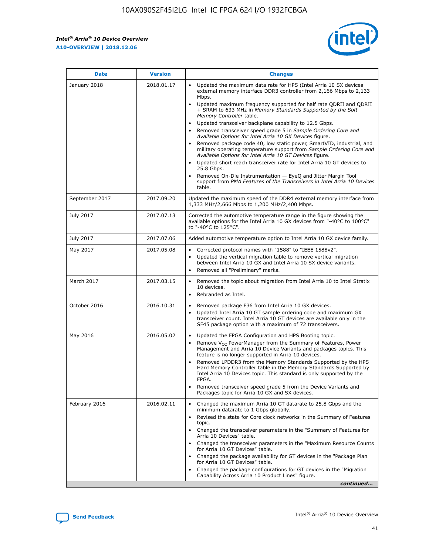$\mathsf{r}$ 



| January 2018<br>Updated the maximum data rate for HPS (Intel Arria 10 SX devices<br>2018.01.17<br>external memory interface DDR3 controller from 2,166 Mbps to 2,133<br>Mbps.<br>$\bullet$<br>+ SRAM to 633 MHz in Memory Standards Supported by the Soft<br>Memory Controller table.<br>Updated transceiver backplane capability to 12.5 Gbps.<br>$\bullet$<br>Removed transceiver speed grade 5 in Sample Ordering Core and<br>Available Options for Intel Arria 10 GX Devices figure.<br>Available Options for Intel Arria 10 GT Devices figure.<br>Updated short reach transceiver rate for Intel Arria 10 GT devices to<br>$\bullet$<br>25.8 Gbps.<br>Removed On-Die Instrumentation - EyeQ and Jitter Margin Tool<br>table.<br>2017.09.20<br>September 2017<br>1,333 MHz/2,666 Mbps to 1,200 MHz/2,400 Mbps.<br>July 2017<br>2017.07.13<br>Corrected the automotive temperature range in the figure showing the<br>available options for the Intel Arria 10 GX devices from "-40°C to 100°C"<br>to "-40°C to 125°C".<br>July 2017<br>2017.07.06<br>Added automotive temperature option to Intel Arria 10 GX device family.<br>2017.05.08<br>Corrected protocol names with "1588" to "IEEE 1588v2".<br>May 2017<br>$\bullet$<br>Updated the vertical migration table to remove vertical migration<br>$\bullet$<br>between Intel Arria 10 GX and Intel Arria 10 SX device variants.<br>Removed all "Preliminary" marks.<br>2017.03.15<br>March 2017<br>Removed the topic about migration from Intel Arria 10 to Intel Stratix<br>10 devices.<br>Rebranded as Intel.<br>$\bullet$<br>October 2016<br>2016.10.31<br>Removed package F36 from Intel Arria 10 GX devices.<br>$\bullet$<br>Updated Intel Arria 10 GT sample ordering code and maximum GX<br>$\bullet$<br>transceiver count. Intel Arria 10 GT devices are available only in the<br>SF45 package option with a maximum of 72 transceivers.<br>May 2016<br>2016.05.02<br>Updated the FPGA Configuration and HPS Booting topic.<br>Remove $V_{CC}$ PowerManager from the Summary of Features, Power<br>Management and Arria 10 Device Variants and packages topics. This<br>feature is no longer supported in Arria 10 devices.<br>Removed LPDDR3 from the Memory Standards Supported by the HPS<br>Hard Memory Controller table in the Memory Standards Supported by<br>Intel Arria 10 Devices topic. This standard is only supported by the<br>FPGA.<br>Removed transceiver speed grade 5 from the Device Variants and<br>Packages topic for Arria 10 GX and SX devices.<br>Changed the maximum Arria 10 GT datarate to 25.8 Gbps and the<br>February 2016<br>2016.02.11<br>minimum datarate to 1 Gbps globally.<br>Revised the state for Core clock networks in the Summary of Features<br>$\bullet$<br>topic.<br>• Changed the transceiver parameters in the "Summary of Features for<br>Arria 10 Devices" table.<br>for Arria 10 GT Devices" table.<br>• Changed the package availability for GT devices in the "Package Plan<br>for Arria 10 GT Devices" table.<br>Changed the package configurations for GT devices in the "Migration"<br>Capability Across Arria 10 Product Lines" figure. | <b>Date</b> | <b>Version</b> | <b>Changes</b>                                                                                                                                                                                                                                                                               |
|----------------------------------------------------------------------------------------------------------------------------------------------------------------------------------------------------------------------------------------------------------------------------------------------------------------------------------------------------------------------------------------------------------------------------------------------------------------------------------------------------------------------------------------------------------------------------------------------------------------------------------------------------------------------------------------------------------------------------------------------------------------------------------------------------------------------------------------------------------------------------------------------------------------------------------------------------------------------------------------------------------------------------------------------------------------------------------------------------------------------------------------------------------------------------------------------------------------------------------------------------------------------------------------------------------------------------------------------------------------------------------------------------------------------------------------------------------------------------------------------------------------------------------------------------------------------------------------------------------------------------------------------------------------------------------------------------------------------------------------------------------------------------------------------------------------------------------------------------------------------------------------------------------------------------------------------------------------------------------------------------------------------------------------------------------------------------------------------------------------------------------------------------------------------------------------------------------------------------------------------------------------------------------------------------------------------------------------------------------------------------------------------------------------------------------------------------------------------------------------------------------------------------------------------------------------------------------------------------------------------------------------------------------------------------------------------------------------------------------------------------------------------------------------------------------------------------------------------------------------------------------------------------------------------------------------------------------------------------------------------------------------------------------------------------------------------------------------------------------------------------------------------------------------|-------------|----------------|----------------------------------------------------------------------------------------------------------------------------------------------------------------------------------------------------------------------------------------------------------------------------------------------|
|                                                                                                                                                                                                                                                                                                                                                                                                                                                                                                                                                                                                                                                                                                                                                                                                                                                                                                                                                                                                                                                                                                                                                                                                                                                                                                                                                                                                                                                                                                                                                                                                                                                                                                                                                                                                                                                                                                                                                                                                                                                                                                                                                                                                                                                                                                                                                                                                                                                                                                                                                                                                                                                                                                                                                                                                                                                                                                                                                                                                                                                                                                                                                                |             |                | Updated maximum frequency supported for half rate QDRII and QDRII<br>Removed package code 40, low static power, SmartVID, industrial, and<br>military operating temperature support from Sample Ordering Core and<br>support from PMA Features of the Transceivers in Intel Arria 10 Devices |
|                                                                                                                                                                                                                                                                                                                                                                                                                                                                                                                                                                                                                                                                                                                                                                                                                                                                                                                                                                                                                                                                                                                                                                                                                                                                                                                                                                                                                                                                                                                                                                                                                                                                                                                                                                                                                                                                                                                                                                                                                                                                                                                                                                                                                                                                                                                                                                                                                                                                                                                                                                                                                                                                                                                                                                                                                                                                                                                                                                                                                                                                                                                                                                |             |                | Updated the maximum speed of the DDR4 external memory interface from                                                                                                                                                                                                                         |
|                                                                                                                                                                                                                                                                                                                                                                                                                                                                                                                                                                                                                                                                                                                                                                                                                                                                                                                                                                                                                                                                                                                                                                                                                                                                                                                                                                                                                                                                                                                                                                                                                                                                                                                                                                                                                                                                                                                                                                                                                                                                                                                                                                                                                                                                                                                                                                                                                                                                                                                                                                                                                                                                                                                                                                                                                                                                                                                                                                                                                                                                                                                                                                |             |                |                                                                                                                                                                                                                                                                                              |
|                                                                                                                                                                                                                                                                                                                                                                                                                                                                                                                                                                                                                                                                                                                                                                                                                                                                                                                                                                                                                                                                                                                                                                                                                                                                                                                                                                                                                                                                                                                                                                                                                                                                                                                                                                                                                                                                                                                                                                                                                                                                                                                                                                                                                                                                                                                                                                                                                                                                                                                                                                                                                                                                                                                                                                                                                                                                                                                                                                                                                                                                                                                                                                |             |                |                                                                                                                                                                                                                                                                                              |
|                                                                                                                                                                                                                                                                                                                                                                                                                                                                                                                                                                                                                                                                                                                                                                                                                                                                                                                                                                                                                                                                                                                                                                                                                                                                                                                                                                                                                                                                                                                                                                                                                                                                                                                                                                                                                                                                                                                                                                                                                                                                                                                                                                                                                                                                                                                                                                                                                                                                                                                                                                                                                                                                                                                                                                                                                                                                                                                                                                                                                                                                                                                                                                |             |                |                                                                                                                                                                                                                                                                                              |
|                                                                                                                                                                                                                                                                                                                                                                                                                                                                                                                                                                                                                                                                                                                                                                                                                                                                                                                                                                                                                                                                                                                                                                                                                                                                                                                                                                                                                                                                                                                                                                                                                                                                                                                                                                                                                                                                                                                                                                                                                                                                                                                                                                                                                                                                                                                                                                                                                                                                                                                                                                                                                                                                                                                                                                                                                                                                                                                                                                                                                                                                                                                                                                |             |                |                                                                                                                                                                                                                                                                                              |
|                                                                                                                                                                                                                                                                                                                                                                                                                                                                                                                                                                                                                                                                                                                                                                                                                                                                                                                                                                                                                                                                                                                                                                                                                                                                                                                                                                                                                                                                                                                                                                                                                                                                                                                                                                                                                                                                                                                                                                                                                                                                                                                                                                                                                                                                                                                                                                                                                                                                                                                                                                                                                                                                                                                                                                                                                                                                                                                                                                                                                                                                                                                                                                |             |                |                                                                                                                                                                                                                                                                                              |
|                                                                                                                                                                                                                                                                                                                                                                                                                                                                                                                                                                                                                                                                                                                                                                                                                                                                                                                                                                                                                                                                                                                                                                                                                                                                                                                                                                                                                                                                                                                                                                                                                                                                                                                                                                                                                                                                                                                                                                                                                                                                                                                                                                                                                                                                                                                                                                                                                                                                                                                                                                                                                                                                                                                                                                                                                                                                                                                                                                                                                                                                                                                                                                |             |                |                                                                                                                                                                                                                                                                                              |
|                                                                                                                                                                                                                                                                                                                                                                                                                                                                                                                                                                                                                                                                                                                                                                                                                                                                                                                                                                                                                                                                                                                                                                                                                                                                                                                                                                                                                                                                                                                                                                                                                                                                                                                                                                                                                                                                                                                                                                                                                                                                                                                                                                                                                                                                                                                                                                                                                                                                                                                                                                                                                                                                                                                                                                                                                                                                                                                                                                                                                                                                                                                                                                |             |                | Changed the transceiver parameters in the "Maximum Resource Counts"<br>continued                                                                                                                                                                                                             |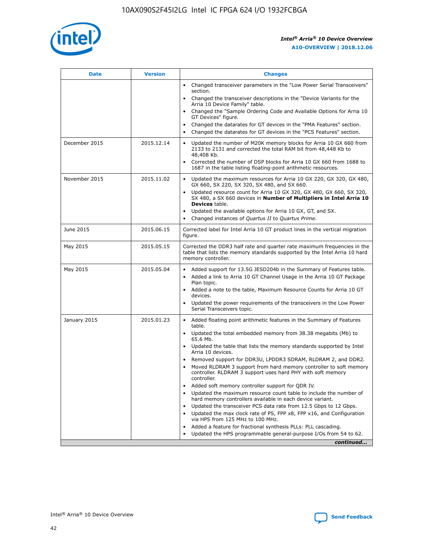

| <b>Date</b>   | <b>Version</b> | <b>Changes</b>                                                                                                                                                               |
|---------------|----------------|------------------------------------------------------------------------------------------------------------------------------------------------------------------------------|
|               |                | • Changed transceiver parameters in the "Low Power Serial Transceivers"<br>section.                                                                                          |
|               |                | • Changed the transceiver descriptions in the "Device Variants for the<br>Arria 10 Device Family" table.                                                                     |
|               |                | Changed the "Sample Ordering Code and Available Options for Arria 10<br>$\bullet$<br>GT Devices" figure.                                                                     |
|               |                | Changed the datarates for GT devices in the "PMA Features" section.                                                                                                          |
|               |                | Changed the datarates for GT devices in the "PCS Features" section.<br>$\bullet$                                                                                             |
| December 2015 | 2015.12.14     | Updated the number of M20K memory blocks for Arria 10 GX 660 from<br>2133 to 2131 and corrected the total RAM bit from 48,448 Kb to<br>48,408 Kb.                            |
|               |                | Corrected the number of DSP blocks for Arria 10 GX 660 from 1688 to<br>1687 in the table listing floating-point arithmetic resources.                                        |
| November 2015 | 2015.11.02     | Updated the maximum resources for Arria 10 GX 220, GX 320, GX 480,<br>$\bullet$<br>GX 660, SX 220, SX 320, SX 480, and SX 660.                                               |
|               |                | • Updated resource count for Arria 10 GX 320, GX 480, GX 660, SX 320,<br>SX 480, a SX 660 devices in Number of Multipliers in Intel Arria 10<br><b>Devices</b> table.        |
|               |                | Updated the available options for Arria 10 GX, GT, and SX.                                                                                                                   |
|               |                | Changed instances of Quartus II to Quartus Prime.<br>$\bullet$                                                                                                               |
| June 2015     | 2015.06.15     | Corrected label for Intel Arria 10 GT product lines in the vertical migration<br>figure.                                                                                     |
| May 2015      | 2015.05.15     | Corrected the DDR3 half rate and quarter rate maximum frequencies in the<br>table that lists the memory standards supported by the Intel Arria 10 hard<br>memory controller. |
| May 2015      | 2015.05.04     | • Added support for 13.5G JESD204b in the Summary of Features table.<br>• Added a link to Arria 10 GT Channel Usage in the Arria 10 GT Package<br>Plan topic.                |
|               |                | • Added a note to the table, Maximum Resource Counts for Arria 10 GT<br>devices.                                                                                             |
|               |                | • Updated the power requirements of the transceivers in the Low Power<br>Serial Transceivers topic.                                                                          |
| January 2015  | 2015.01.23     | • Added floating point arithmetic features in the Summary of Features<br>table.                                                                                              |
|               |                | • Updated the total embedded memory from 38.38 megabits (Mb) to<br>65.6 Mb.                                                                                                  |
|               |                | • Updated the table that lists the memory standards supported by Intel<br>Arria 10 devices.                                                                                  |
|               |                | Removed support for DDR3U, LPDDR3 SDRAM, RLDRAM 2, and DDR2.                                                                                                                 |
|               |                | Moved RLDRAM 3 support from hard memory controller to soft memory<br>controller. RLDRAM 3 support uses hard PHY with soft memory<br>controller.                              |
|               |                | Added soft memory controller support for QDR IV.<br>٠                                                                                                                        |
|               |                | Updated the maximum resource count table to include the number of<br>hard memory controllers available in each device variant.                                               |
|               |                | Updated the transceiver PCS data rate from 12.5 Gbps to 12 Gbps.<br>$\bullet$                                                                                                |
|               |                | Updated the max clock rate of PS, FPP x8, FPP x16, and Configuration<br>via HPS from 125 MHz to 100 MHz.                                                                     |
|               |                | Added a feature for fractional synthesis PLLs: PLL cascading.                                                                                                                |
|               |                | Updated the HPS programmable general-purpose I/Os from 54 to 62.<br>$\bullet$<br>continued                                                                                   |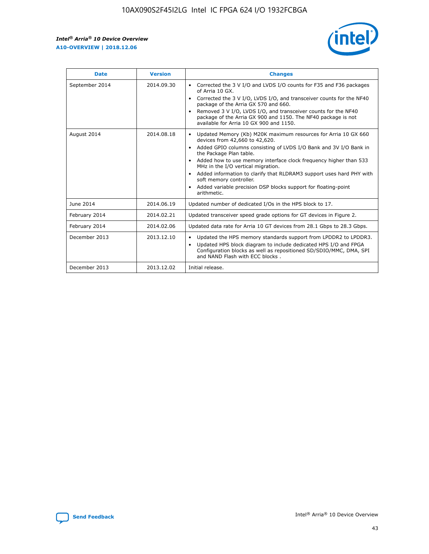r



| <b>Date</b>    | <b>Version</b> | <b>Changes</b>                                                                                                                                                                                                                                                                                                                                                                                                                                                                                                                                      |
|----------------|----------------|-----------------------------------------------------------------------------------------------------------------------------------------------------------------------------------------------------------------------------------------------------------------------------------------------------------------------------------------------------------------------------------------------------------------------------------------------------------------------------------------------------------------------------------------------------|
| September 2014 | 2014.09.30     | Corrected the 3 V I/O and LVDS I/O counts for F35 and F36 packages<br>$\bullet$<br>of Arria 10 GX.<br>Corrected the 3 V I/O, LVDS I/O, and transceiver counts for the NF40<br>$\bullet$<br>package of the Arria GX 570 and 660.<br>Removed 3 V I/O, LVDS I/O, and transceiver counts for the NF40<br>package of the Arria GX 900 and 1150. The NF40 package is not<br>available for Arria 10 GX 900 and 1150.                                                                                                                                       |
| August 2014    | 2014.08.18     | Updated Memory (Kb) M20K maximum resources for Arria 10 GX 660<br>devices from 42,660 to 42,620.<br>Added GPIO columns consisting of LVDS I/O Bank and 3V I/O Bank in<br>$\bullet$<br>the Package Plan table.<br>Added how to use memory interface clock frequency higher than 533<br>$\bullet$<br>MHz in the I/O vertical migration.<br>Added information to clarify that RLDRAM3 support uses hard PHY with<br>$\bullet$<br>soft memory controller.<br>Added variable precision DSP blocks support for floating-point<br>$\bullet$<br>arithmetic. |
| June 2014      | 2014.06.19     | Updated number of dedicated I/Os in the HPS block to 17.                                                                                                                                                                                                                                                                                                                                                                                                                                                                                            |
| February 2014  | 2014.02.21     | Updated transceiver speed grade options for GT devices in Figure 2.                                                                                                                                                                                                                                                                                                                                                                                                                                                                                 |
| February 2014  | 2014.02.06     | Updated data rate for Arria 10 GT devices from 28.1 Gbps to 28.3 Gbps.                                                                                                                                                                                                                                                                                                                                                                                                                                                                              |
| December 2013  | 2013.12.10     | Updated the HPS memory standards support from LPDDR2 to LPDDR3.<br>Updated HPS block diagram to include dedicated HPS I/O and FPGA<br>$\bullet$<br>Configuration blocks as well as repositioned SD/SDIO/MMC, DMA, SPI<br>and NAND Flash with ECC blocks.                                                                                                                                                                                                                                                                                            |
| December 2013  | 2013.12.02     | Initial release.                                                                                                                                                                                                                                                                                                                                                                                                                                                                                                                                    |